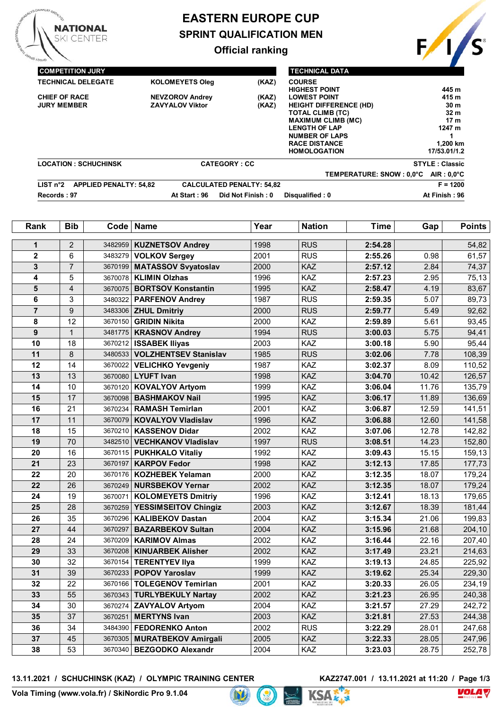

# **EASTERN EUROPE CUP SPRINT QUALIFICATION MEN**

# **Official ranking**



| <b>TECHNICAL DELEGATE</b><br><b>KOLOMEYETS Oleg</b><br>(KAZ)<br><b>COURSE</b><br><b>HIGHEST POINT</b><br><b>CHIEF OF RACE</b><br><b>NEVZOROV Andrey</b><br>(KAZ)<br><b>LOWEST POINT</b><br><b>ZAVYALOV Viktor</b><br><b>JURY MEMBER</b><br>(KAZ)<br><b>HEIGHT DIFFERENCE (HD)</b><br><b>TOTAL CLIMB (TC)</b><br><b>MAXIMUM CLIMB (MC)</b><br><b>LENGTH OF LAP</b> |                       |
|-------------------------------------------------------------------------------------------------------------------------------------------------------------------------------------------------------------------------------------------------------------------------------------------------------------------------------------------------------------------|-----------------------|
|                                                                                                                                                                                                                                                                                                                                                                   | 445 m                 |
|                                                                                                                                                                                                                                                                                                                                                                   | 415 m                 |
|                                                                                                                                                                                                                                                                                                                                                                   | 30 <sub>m</sub>       |
|                                                                                                                                                                                                                                                                                                                                                                   | 32 <sub>m</sub>       |
|                                                                                                                                                                                                                                                                                                                                                                   | 17 <sub>m</sub>       |
|                                                                                                                                                                                                                                                                                                                                                                   | 1247 m                |
| <b>NUMBER OF LAPS</b>                                                                                                                                                                                                                                                                                                                                             |                       |
| <b>RACE DISTANCE</b>                                                                                                                                                                                                                                                                                                                                              | 1.200 km              |
| <b>HOMOLOGATION</b>                                                                                                                                                                                                                                                                                                                                               | 17/53.01/1.2          |
| <b>LOCATION: SCHUCHINSK</b><br><b>CATEGORY: CC</b>                                                                                                                                                                                                                                                                                                                | <b>STYLE: Classic</b> |
| TEMPERATURE: SNOW : 0,0°C                                                                                                                                                                                                                                                                                                                                         | $AIR: 0.0^{\circ}C$   |
| LIST n <sup>°</sup> 2<br><b>APPLIED PENALTY: 54,82</b><br><b>CALCULATED PENALTY: 54,82</b>                                                                                                                                                                                                                                                                        | $F = 1200$            |
| Records: 97<br>Did Not Finish: 0<br>Disqualified: 0<br>At Start: 96                                                                                                                                                                                                                                                                                               | At Finish: 96         |

| Rank            | <b>Bib</b>       | Code    | <b>Name</b>                  | Year | <b>Nation</b> | <b>Time</b> | Gap   | <b>Points</b> |
|-----------------|------------------|---------|------------------------------|------|---------------|-------------|-------|---------------|
| 1               | $\overline{2}$   | 3482959 | <b>KUZNETSOV Andrey</b>      | 1998 | <b>RUS</b>    | 2:54.28     |       | 54,82         |
| $\mathbf 2$     | 6                | 3483279 | <b>VOLKOV Sergey</b>         | 2001 | <b>RUS</b>    | 2:55.26     | 0.98  | 61,57         |
| 3               | $\overline{7}$   | 3670199 | <b>MATASSOV Svyatoslav</b>   | 2000 | KAZ           | 2:57.12     | 2.84  | 74,37         |
| 4               | 5                | 3670078 | <b>KLIMIN Olzhas</b>         | 1996 | KAZ           | 2:57.23     | 2.95  | 75,13         |
| 5               | $\overline{4}$   | 3670075 | <b>BORTSOV Konstantin</b>    | 1995 | KAZ           | 2:58.47     | 4.19  | 83,67         |
| 6               | 3                | 3480322 | <b>PARFENOV Andrey</b>       | 1987 | <b>RUS</b>    | 2:59.35     | 5.07  | 89,73         |
| $\overline{7}$  | $\boldsymbol{9}$ |         | 3483306 <b>ZHUL Dmitriy</b>  | 2000 | <b>RUS</b>    | 2:59.77     | 5.49  | 92,62         |
| 8               | 12               | 3670150 | <b>GRIDIN Nikita</b>         | 2000 | KAZ           | 2:59.89     | 5.61  | 93,45         |
| 9               | $\mathbf{1}$     | 3481775 | <b>KRASNOV Andrey</b>        | 1994 | <b>RUS</b>    | 3:00.03     | 5.75  | 94,41         |
| 10              | 18               | 3670212 | <b>ISSABEK Iliyas</b>        | 2003 | KAZ           | 3:00.18     | 5.90  | 95,44         |
| 11              | $\,8\,$          | 3480533 | <b>VOLZHENTSEV Stanislav</b> | 1985 | <b>RUS</b>    | 3:02.06     | 7.78  | 108,39        |
| 12              | 14               | 3670022 | <b>VELICHKO Yevgeniy</b>     | 1987 | KAZ           | 3:02.37     | 8.09  | 110,52        |
| 13              | 13               |         | 3670080 LYUFT Ivan           | 1998 | KAZ           | 3:04.70     | 10.42 | 126,57        |
| 14              | 10               | 3670120 | <b>KOVALYOV Artyom</b>       | 1999 | KAZ           | 3:06.04     | 11.76 | 135,79        |
| 15              | 17               | 3670098 | <b>BASHMAKOV Nail</b>        | 1995 | KAZ           | 3:06.17     | 11.89 | 136,69        |
| 16              | 21               | 3670234 | <b>RAMASH Temirlan</b>       | 2001 | KAZ           | 3:06.87     | 12.59 | 141,51        |
| 17              | 11               | 3670079 | <b>KOVALYOV Vladislav</b>    | 1996 | KAZ           | 3:06.88     | 12.60 | 141,58        |
| 18              | 15               | 3670210 | <b>KASSENOV Didar</b>        | 2002 | KAZ           | 3:07.06     | 12.78 | 142,82        |
| 19              | 70               | 3482510 | <b>VECHKANOV Vladislav</b>   | 1997 | <b>RUS</b>    | 3:08.51     | 14.23 | 152,80        |
| 20              | 16               |         | 3670115   PUKHKALO Vitaliy   | 1992 | KAZ           | 3:09.43     | 15.15 | 159,13        |
| 21              | 23               | 3670197 | <b>KARPOV Fedor</b>          | 1998 | KAZ           | 3:12.13     | 17.85 | 177,73        |
| 22              | 20               | 3670176 | <b>KOZHEBEK Yelaman</b>      | 2000 | KAZ           | 3:12.35     | 18.07 | 179,24        |
| 22              | 26               | 3670249 | <b>NURSBEKOV Yernar</b>      | 2002 | KAZ           | 3:12.35     | 18.07 | 179,24        |
| 24              | 19               | 3670071 | <b>KOLOMEYETS Dmitriy</b>    | 1996 | KAZ           | 3:12.41     | 18.13 | 179,65        |
| 25              | 28               | 3670259 | <b>YESSIMSEITOV Chingiz</b>  | 2003 | KAZ           | 3:12.67     | 18.39 | 181,44        |
| 26              | 35               | 3670296 | <b>KALIBEKOV Dastan</b>      | 2004 | KAZ           | 3:15.34     | 21.06 | 199,83        |
| $\overline{27}$ | 44               | 3670297 | <b>BAZARBEKOV Sultan</b>     | 2004 | KAZ           | 3:15.96     | 21.68 | 204,10        |
| 28              | 24               | 3670209 | <b>KARIMOV Almas</b>         | 2002 | KAZ           | 3:16.44     | 22.16 | 207,40        |
| 29              | 33               | 3670208 | <b>KINUARBEK Alisher</b>     | 2002 | KAZ           | 3:17.49     | 23.21 | 214,63        |
| 30              | 32               | 3670154 | <b>TERENTYEV IIya</b>        | 1999 | KAZ           | 3:19.13     | 24.85 | 225,92        |
| 31              | 39               | 3670233 | <b>POPOV Yaroslav</b>        | 1999 | KAZ           | 3:19.62     | 25.34 | 229,30        |
| 32              | 22               | 3670166 | <b>TOLEGENOV Temirlan</b>    | 2001 | KAZ           | 3:20.33     | 26.05 | 234,19        |
| 33              | 55               | 3670343 | <b>TURLYBEKULY Nartay</b>    | 2002 | KAZ           | 3:21.23     | 26.95 | 240,38        |
| 34              | 30               | 3670274 | <b>ZAVYALOV Artyom</b>       | 2004 | KAZ           | 3:21.57     | 27.29 | 242,72        |
| 35              | 37               | 3670251 | <b>MERTYNS Ivan</b>          | 2003 | KAZ           | 3:21.81     | 27.53 | 244,38        |
| 36              | 34               | 3484390 | <b>FEDORENKO Anton</b>       | 2002 | <b>RUS</b>    | 3:22.29     | 28.01 | 247,68        |
| 37              | 45               | 3670305 | <b>MURATBEKOV Amirgali</b>   | 2005 | KAZ           | 3:22.33     | 28.05 | 247,96        |
| 38              | 53               |         | 3670340   BEZGODKO Alexandr  | 2004 | KAZ           | 3:23.03     | 28.75 | 252,78        |

13.11.2021 / SCHUCHINSK (KAZ) / OLYMPIC TRAINING CENTER

**KAZ2747.001** / 13.11.2021 at 11:20 / Page 1/3<br> $\overline{\text{S}} \wedge \overline{\text{S}}^{\text{th}}$ 





D2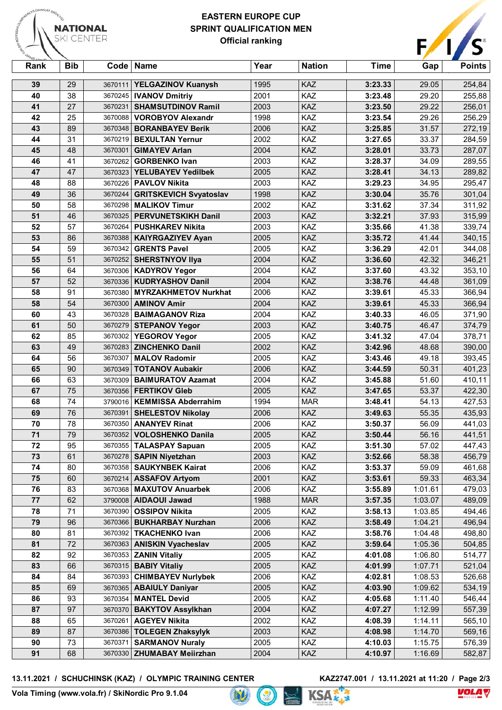

## **EASTERN EUROPE CUP SPRINT QUALIFICATION MEN Official ranking**



| Rank | <b>Bib</b> | Code    | ∣ Name                        | Year | <b>Nation</b> | Time    | Gap     | <b>Points</b> |
|------|------------|---------|-------------------------------|------|---------------|---------|---------|---------------|
| 39   | 29         | 3670111 | <b>YELGAZINOV Kuanysh</b>     | 1995 | <b>KAZ</b>    | 3:23.33 | 29.05   | 254,84        |
| 40   | 38         | 3670245 | <b>IVANOV Dmitriy</b>         | 2001 | KAZ           | 3:23.48 | 29.20   | 255,88        |
| 41   | 27         | 3670231 | <b>SHAMSUTDINOV Ramil</b>     | 2003 | KAZ           | 3:23.50 | 29.22   | 256,01        |
| 42   | 25         | 3670088 | <b>VOROBYOV Alexandr</b>      | 1998 | KAZ           | 3:23.54 | 29.26   | 256,29        |
| 43   | 89         | 3670348 | <b>BORANBAYEV Berik</b>       | 2006 | KAZ           | 3:25.85 | 31.57   | 272,19        |
| 44   | 31         | 3670219 | <b>BEXULTAN Yernur</b>        | 2002 | KAZ           | 3:27.65 | 33.37   | 284,59        |
| 45   | 48         | 3670301 | <b>GIMAYEV Arlan</b>          | 2004 | KAZ           | 3:28.01 | 33.73   | 287,07        |
| 46   | 41         | 3670262 | <b>GORBENKO Ivan</b>          | 2003 | KAZ           | 3:28.37 | 34.09   | 289,55        |
| 47   | 47         | 3670323 | <b>YELUBAYEV Yedilbek</b>     | 2005 | KAZ           | 3:28.41 | 34.13   | 289,82        |
| 48   | 88         | 3670226 | <b>PAVLOV Nikita</b>          | 2003 | KAZ           | 3:29.23 | 34.95   | 295,47        |
| 49   | 36         | 3670244 | <b>GRITSKEVICH Svyatoslav</b> | 1998 | KAZ           | 3:30.04 | 35.76   | 301,04        |
| 50   | 58         | 3670298 | <b>MALIKOV Timur</b>          | 2002 | KAZ           | 3:31.62 | 37.34   | 311,92        |
| 51   | 46         | 3670325 | <b>PERVUNETSKIKH Danil</b>    | 2003 | KAZ           | 3:32.21 | 37.93   | 315,99        |
| 52   | 57         | 3670264 | <b>PUSHKAREV Nikita</b>       | 2003 | KAZ           | 3:35.66 | 41.38   | 339,74        |
| 53   | 86         | 3670388 | <b>KAIYRGAZIYEV Ayan</b>      | 2005 | KAZ           | 3:35.72 | 41.44   | 340,15        |
| 54   | 59         | 3670342 | <b>GRENTS Pavel</b>           | 2005 | KAZ           | 3:36.29 | 42.01   | 344,08        |
| 55   | 51         | 3670252 | <b>SHERSTNYOV Ilya</b>        | 2004 | KAZ           | 3:36.60 | 42.32   | 346,21        |
| 56   | 64         | 3670306 | <b>KADYROV Yegor</b>          | 2004 | KAZ           | 3:37.60 | 43.32   | 353,10        |
| 57   | 52         | 3670336 | <b>KUDRYASHOV Danil</b>       | 2004 | KAZ           | 3:38.76 | 44.48   | 361,09        |
| 58   | 91         | 3670380 | <b>MYRZAKHMETOV Nurkhat</b>   | 2006 | KAZ           | 3:39.61 | 45.33   | 366,94        |
| 58   | 54         | 3670300 | <b>AMINOV Amir</b>            | 2004 | <b>KAZ</b>    | 3:39.61 | 45.33   | 366,94        |
| 60   | 43         | 3670328 | <b>BAIMAGANOV Riza</b>        | 2004 | KAZ           | 3:40.33 | 46.05   | 371,90        |
| 61   | 50         | 3670279 | <b>STEPANOV Yegor</b>         | 2003 | KAZ           | 3:40.75 | 46.47   | 374,79        |
| 62   | 85         | 3670302 | <b>YEGOROV Yegor</b>          | 2005 | KAZ           | 3:41.32 | 47.04   | 378,71        |
| 63   | 49         | 3670283 | <b>ZINCHENKO Danil</b>        | 2002 | KAZ           | 3:42.96 | 48.68   | 390,00        |
| 64   | 56         | 3670307 | <b>MALOV Radomir</b>          | 2005 | KAZ           | 3:43.46 | 49.18   | 393,45        |
| 65   | 90         | 3670349 | <b>TOTANOV Aubakir</b>        | 2006 | KAZ           | 3:44.59 | 50.31   | 401,23        |
| 66   | 63         | 3670309 | <b>BAIMURATOV Azamat</b>      | 2004 | KAZ           | 3:45.88 | 51.60   | 410,11        |
| 67   | 75         | 3670356 | <b>FERTIKOV Gleb</b>          | 2005 | KAZ           | 3:47.65 | 53.37   | 422,30        |
| 68   | 74         | 3790016 | <b>KEMMISSA Abderrahim</b>    | 1994 | <b>MAR</b>    | 3:48.41 | 54.13   | 427,53        |
| 69   | 76         | 3670391 | <b>SHELESTOV Nikolay</b>      | 2006 | KAZ           | 3:49.63 | 55.35   | 435,93        |
| 70   | 78         | 3670350 | <b>ANANYEV Rinat</b>          | 2006 | KAZ           | 3:50.37 | 56.09   | 441,03        |
| 71   | 79         | 3670352 | <b>VOLOSHENKO Danila</b>      | 2005 | KAZ           | 3:50.44 | 56.16   | 441,51        |
| 72   | 95         |         | 3670355   TALASPAY Sapuan     | 2005 | KAZ           | 3:51.30 | 57.02   | 447,43        |
| 73   | 61         | 3670278 | <b>SAPIN Niyetzhan</b>        | 2003 | KAZ           | 3:52.66 | 58.38   | 456,79        |
| 74   | 80         | 3670358 | <b>SAUKYNBEK Kairat</b>       | 2006 | <b>KAZ</b>    | 3:53.37 | 59.09   | 461,68        |
| 75   | 60         | 3670214 | <b>ASSAFOV Artyom</b>         | 2001 | KAZ           | 3:53.61 | 59.33   | 463,34        |
| 76   | 83         | 3670368 | <b>MAXUTOV Anuarbek</b>       | 2006 | <b>KAZ</b>    | 3:55.89 | 1:01.61 | 479,03        |
| 77   | 62         | 3790008 | <b>AIDAOUI Jawad</b>          | 1988 | <b>MAR</b>    | 3:57.35 | 1:03.07 | 489,09        |
| 78   | 71         | 3670390 | <b>OSSIPOV Nikita</b>         | 2005 | <b>KAZ</b>    | 3:58.13 | 1:03.85 | 494,46        |
| 79   | 96         | 3670366 | <b>BUKHARBAY Nurzhan</b>      | 2006 | <b>KAZ</b>    | 3:58.49 | 1:04.21 | 496,94        |
| 80   | 81         |         | 3670392   TKACHENKO Ivan      | 2006 | KAZ           | 3:58.76 | 1:04.48 | 498,80        |
| 81   | 72         | 3670363 | <b>ANISKIN Vyacheslav</b>     | 2005 | KAZ           | 3:59.64 | 1:05.36 | 504,85        |
| 82   | 92         | 3670353 | <b>ZANIN Vitaliy</b>          | 2005 | <b>KAZ</b>    | 4:01.08 | 1:06.80 | 514,77        |
| 83   | 66         | 3670315 | <b>BABIY Vitaliy</b>          | 2005 | KAZ           | 4:01.99 | 1:07.71 | 521,04        |
| 84   | 84         | 3670393 | <b>CHIMBAYEV Nurlybek</b>     | 2006 | <b>KAZ</b>    | 4:02.81 | 1:08.53 | 526,68        |
| 85   | 69         | 3670365 | <b>ABAIULY Daniyar</b>        | 2005 | <b>KAZ</b>    | 4:03.90 | 1:09.62 | 534,19        |
| 86   | 93         | 3670354 | <b>MANTEL Devid</b>           | 2005 | <b>KAZ</b>    | 4:05.68 | 1:11.40 | 546,44        |
| 87   | 97         | 3670370 | <b>BAKYTOV Assylkhan</b>      | 2004 | KAZ           | 4:07.27 | 1:12.99 | 557,39        |
| 88   | 65         | 3670261 | <b>AGEYEV Nikita</b>          | 2002 | KAZ           | 4:08.39 | 1:14.11 | 565,10        |
| 89   | 87         | 3670386 | <b>TOLEGEN Zhaksylyk</b>      | 2003 | <b>KAZ</b>    | 4:08.98 | 1:14.70 | 569,16        |
| 90   | 73         | 3670371 | <b>SARMANOV Nuraly</b>        | 2005 | KAZ           | 4:10.03 | 1:15.75 | 576,39        |
| 91   | 68         | 3670330 | <b>ZHUMABAY Meiirzhan</b>     | 2004 | KAZ           | 4:10.97 | 1:16.69 | 582,87        |

**13.11.2021 / SCHUCHINSK (KAZ) / OLYMPIC TRAINING CENTER KAZ2747.001 / 13.11.2021 at 11:20 / Page 2/3**

**Vola Timing (www.vola.fr) / SkiNordic Pro 9.1.04**



KSAE 3

**Vola**  $\sqrt{}$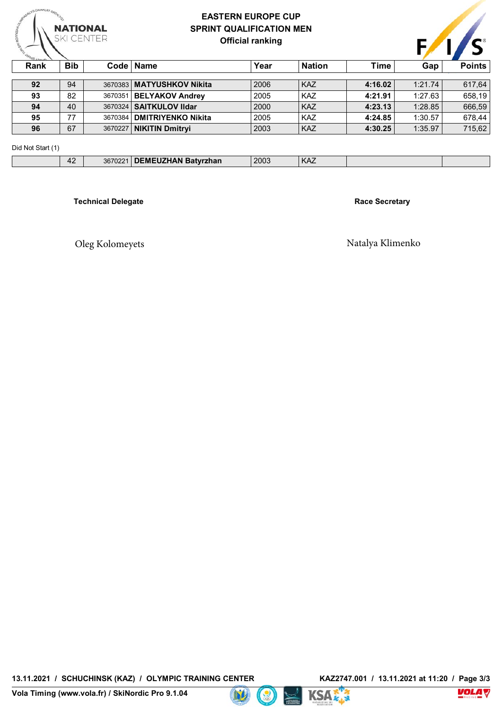

## **EASTERN EUROPE CUP SPRINT QUALIFICATION MEN Official ranking**

| <b>RANTI LNONS LE</b><br><b>Bib</b><br>Rank |         |                             |      |               |             |         |               |
|---------------------------------------------|---------|-----------------------------|------|---------------|-------------|---------|---------------|
|                                             |         | Code   Name                 | Year | <b>Nation</b> | <b>Time</b> | Gap     | <b>Points</b> |
| 92<br>94                                    |         | 3670383   MATYUSHKOV Nikita | 2006 | <b>KAZ</b>    | 4:16.02     | 1:21.74 | 617,64        |
| 82<br>93                                    |         | 3670351   BELYAKOV Andrey   | 2005 | <b>KAZ</b>    | 4:21.91     | 1:27.63 | 658,19        |
| 40<br>94                                    |         | 3670324   SAITKULOV IIdar   | 2000 | <b>KAZ</b>    | 4:23.13     | 1:28.85 | 666,59        |
| 77<br>95                                    | 3670384 | <b>DMITRIYENKO Nikita</b>   | 2005 | <b>KAZ</b>    | 4:24.85     | 1:30.57 | 678.44        |
| 67<br>96                                    | 3670227 | <b>NIKITIN Dmitryi</b>      | 2003 | <b>KAZ</b>    | 4:30.25     | 1:35.97 | 715,62        |

Did Not Start (1)

| $P1Q1Q2Q3Q4Q5Q6Q7Q8Q1Q1Q1Q1Q1Q1Q1Q1Q1Q1Q1Q1Q1Q1Q1Q1Q1Q1Q$ |                                |                         |                                  |      |     |  |
|-----------------------------------------------------------|--------------------------------|-------------------------|----------------------------------|------|-----|--|
|                                                           | $\sqrt{2}$<br>$\prime$<br>$+2$ | 367022<br><b>JUIULL</b> | <b>EMEUZHAN Batyrzhan</b><br>. . | 2003 | KAZ |  |
|                                                           |                                |                         |                                  |      |     |  |

**Records : 97 At Start : 96 Did Not Finish : 0 Disqualified : 0 At Finish : 96 Technical Delegate Race Secretary** 

Oleg Kolomeyets Natalya Klimenko





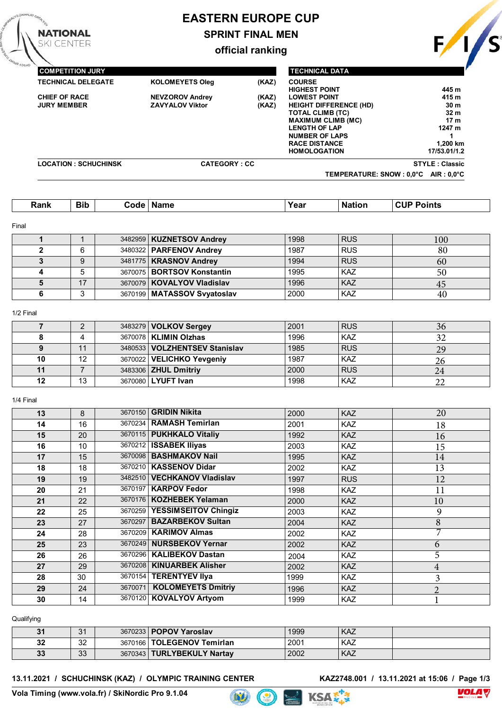# **EASTERN EUROPE CUP**

# **SPRINT FINAL MEN**

**official ranking**

**COMPETITION JURY TECHNICAL DELEGATE KOLOMEYETS Oleg (KAZ) CHIEF OF RACE NEVZOROV Andrey (KAZ) ZAVYALOV Viktor TECHNICAL DATA COURSE HIGHEST POINT 445 m LOWEST POINT HEIGHT DIFFERENCE (HD) 30 m TOTAL CLIMB (TC) 32 m MAXIMUM CLIMB (MC)** 17 m<br> **1247 m 1247 m LENGTH OF LAP NUMBER OF LAPS** 1<br> **RACE DISTANCE** 1,200 km **RACE DISTANCE 1,200 km HOMOLOGATION LOCATION : SCHUCHINSK CATEGORY : CC STYLE : Classic TEMPERATURE: SNOW : 0,0°C AIR : 0,0°C**

| <b>Bib</b><br>Rank | ∴ode :<br>Name | 'ear | .<br>-ма<br>ног | oints<br>$\sim$ . The set of $\sim$ |
|--------------------|----------------|------|-----------------|-------------------------------------|
|--------------------|----------------|------|-----------------|-------------------------------------|

#### Final

**NATIONAL** 

**SKI CENTER** 

|   |    | 3482959   KUZNETSOV Andrey     | 1998 | <b>RUS</b> | 100 |
|---|----|--------------------------------|------|------------|-----|
|   | 6  | 3480322 <b>PARFENOV Andrey</b> | 1987 | <b>RUS</b> | 80  |
|   | 9  | 3481775   KRASNOV Andrey       | 1994 | <b>RUS</b> | 60  |
| 4 |    | 3670075 BORTSOV Konstantin     | 1995 | <b>KAZ</b> | 50  |
|   | 17 | 3670079   KOVALYOV Vladislav   | 1996 | <b>KAZ</b> | 45  |
|   | ົ  | 3670199 MATASSOV Svyatoslav    | 2000 | <b>KAZ</b> | 40  |

#### 1/2 Final

|    |    | 3483279 <b>VOLKOV Sergey</b>    | 2001 | <b>RUS</b> | 36 |
|----|----|---------------------------------|------|------------|----|
|    |    | 3670078   KLIMIN Olzhas         | 1996 | <b>KAZ</b> |    |
|    |    | 3480533   VOLZHENTSEV Stanislav | 1985 | <b>RUS</b> | 29 |
| 10 | 12 | 3670022 VELICHKO Yevgeniy       | 1987 | KAZ        | ۷h |
| 11 |    | 3483306 <b>ZHUL Dmitriy</b>     | 2000 | <b>RUS</b> |    |
| 12 | 13 | 3670080 LYUFT Ivan              | 1998 | <b>KAZ</b> |    |

#### 1/4 Final

| 13 | 8  |         | 3670150   GRIDIN Nikita      | 2000 | <b>KAZ</b> | 20            |
|----|----|---------|------------------------------|------|------------|---------------|
| 14 | 16 |         | 3670234   RAMASH Temirlan    | 2001 | <b>KAZ</b> | 18            |
| 15 | 20 |         | 3670115 PUKHKALO Vitaliy     | 1992 | <b>KAZ</b> | 16            |
| 16 | 10 |         | 3670212 ISSABEK Iliyas       | 2003 | <b>KAZ</b> | 15            |
| 17 | 15 |         | 3670098 BASHMAKOV Nail       | 1995 | <b>KAZ</b> | 14            |
| 18 | 18 |         | 3670210   KASSENOV Didar     | 2002 | <b>KAZ</b> | 13            |
| 19 | 19 |         | 3482510 VECHKANOV Vladislav  | 1997 | <b>RUS</b> | 12            |
| 20 | 21 |         | 3670197   KARPOV Fedor       | 1998 | <b>KAZ</b> | 11            |
| 21 | 22 |         | 3670176   KOZHEBEK Yelaman   | 2000 | <b>KAZ</b> | 10            |
| 22 | 25 |         | 3670259 YESSIMSEITOV Chingiz | 2003 | <b>KAZ</b> | 9             |
| 23 | 27 | 3670297 | <b>BAZARBEKOV Sultan</b>     | 2004 | <b>KAZ</b> | 8             |
| 24 | 28 |         | 3670209   KARIMOV Almas      | 2002 | <b>KAZ</b> |               |
| 25 | 23 |         | 3670249 NURSBEKOV Yernar     | 2002 | <b>KAZ</b> | 6             |
| 26 | 26 |         | 3670296   KALIBEKOV Dastan   | 2004 | <b>KAZ</b> | 5             |
| 27 | 29 | 3670208 | <b>KINUARBEK Alisher</b>     | 2002 | <b>KAZ</b> | 4             |
| 28 | 30 |         | 3670154   TERENTYEV IIya     | 1999 | <b>KAZ</b> | 3             |
| 29 | 24 | 3670071 | <b>KOLOMEYETS Dmitriy</b>    | 1996 | <b>KAZ</b> | $\mathcal{D}$ |
| 30 | 14 |         | 3670120 KOVALYOV Artyom      | 1999 | <b>KAZ</b> |               |
|    |    |         |                              |      |            |               |

#### **Qualifying**

| 31 | $\Omega$<br>ັບ | 3670233   POPOV Yaroslav     | 1999 | <b>KAZ</b> |  |
|----|----------------|------------------------------|------|------------|--|
| 32 | ົດຕ<br>ັ       | 3670166   TOLEGENOV Temirlan | 2001 | <b>KAZ</b> |  |
| 33 | ററ<br>vu       | 3670343   TURLYBEKULY Nartav | 2002 | <b>KAZ</b> |  |

**Lit** 

#### **13.11.2021 / SCHUCHINSK (KAZ) / OLYMPIC TRAINING CENTER KAZ2748.001 / 13.11.2021 at 15:06 / Page 1/3**







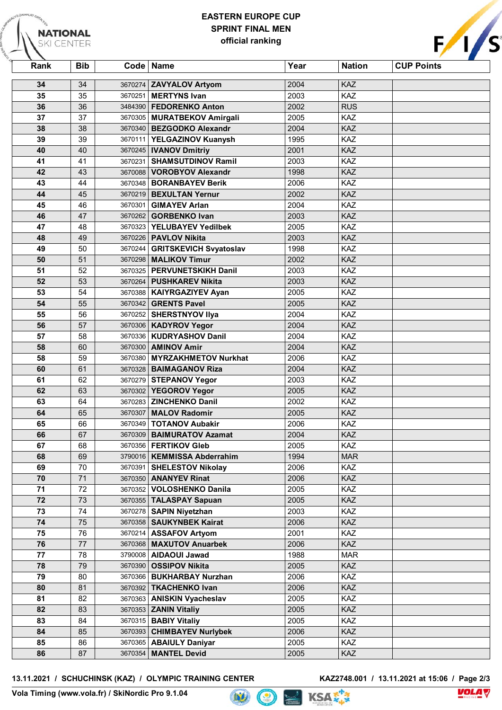## **EASTERN EUROPE CUP SPRINT FINAL MEN official ranking**

| <b>URTALKOL</b>   |            | EAS I ERN EURUPE GUP             |      |               |                   |  |  |  |  |
|-------------------|------------|----------------------------------|------|---------------|-------------------|--|--|--|--|
| <b>NATIONAL</b>   |            | F/1/s<br><b>SPRINT FINAL MEN</b> |      |               |                   |  |  |  |  |
| <b>SKI CENTER</b> |            | official ranking                 |      |               |                   |  |  |  |  |
|                   |            |                                  |      |               |                   |  |  |  |  |
| Rank              | <b>Bib</b> | Code   Name                      | Year | <b>Nation</b> | <b>CUP Points</b> |  |  |  |  |
| 34                | 34         | 3670274 ZAVYALOV Artyom          | 2004 | <b>KAZ</b>    |                   |  |  |  |  |
| 35                | 35         | 3670251   MERTYNS Ivan           | 2003 | KAZ           |                   |  |  |  |  |
| 36                | 36         | 3484390   FEDORENKO Anton        | 2002 | <b>RUS</b>    |                   |  |  |  |  |
| 37                | 37         | 3670305   MURATBEKOV Amirgali    | 2005 | KAZ           |                   |  |  |  |  |
| 38                | 38         | 3670340   BEZGODKO Alexandr      | 2004 | KAZ           |                   |  |  |  |  |
| 39                | 39         | 3670111 YELGAZINOV Kuanysh       | 1995 | KAZ           |                   |  |  |  |  |
| 40                | 40         | 3670245   IVANOV Dmitriy         | 2001 | KAZ           |                   |  |  |  |  |
| 41                | 41         | 3670231 SHAMSUTDINOV Ramil       | 2003 | KAZ           |                   |  |  |  |  |
| 42                | 43         | 3670088 VOROBYOV Alexandr        | 1998 | KAZ           |                   |  |  |  |  |
| 43                | 44         | 3670348   BORANBAYEV Berik       | 2006 | KAZ           |                   |  |  |  |  |
| 44                | 45         | 3670219 BEXULTAN Yernur          | 2002 | KAZ           |                   |  |  |  |  |
| 45                | 46         | 3670301 GIMAYEV Arlan            | 2004 | <b>KAZ</b>    |                   |  |  |  |  |
| 46                | 47         | 3670262   GORBENKO Ivan          | 2003 | <b>KAZ</b>    |                   |  |  |  |  |
| 47                | 48         | 3670323 YELUBAYEV Yedilbek       | 2005 | KAZ           |                   |  |  |  |  |
| 48                | 49         | 3670226   PAVLOV Nikita          | 2003 | <b>KAZ</b>    |                   |  |  |  |  |
| 49                | 50         | 3670244   GRITSKEVICH Svyatoslav | 1998 | KAZ           |                   |  |  |  |  |
| 50                | 51         | 3670298   MALIKOV Timur          | 2002 | KAZ           |                   |  |  |  |  |
| 51                | 52         | 3670325   PERVUNETSKIKH Danil    | 2003 | <b>KAZ</b>    |                   |  |  |  |  |
| 52                | 53         | 3670264   PUSHKAREV Nikita       | 2003 | KAZ           |                   |  |  |  |  |
| 53                | 54         | 3670388   KAIYRGAZIYEV Ayan      | 2005 | KAZ           |                   |  |  |  |  |
| 54                | 55         | 3670342 GRENTS Pavel             | 2005 | <b>KAZ</b>    |                   |  |  |  |  |
| 55                | 56         | 3670252   SHERSTNYOV IIya        | 2004 | KAZ           |                   |  |  |  |  |
| 56                | 57         | 3670306   KADYROV Yegor          | 2004 | KAZ           |                   |  |  |  |  |
| 57                | 58         | 3670336   KUDRYASHOV Danil       | 2004 | KAZ           |                   |  |  |  |  |
| 58                | 60         | 3670300   AMINOV Amir            | 2004 | KAZ           |                   |  |  |  |  |
| 58                | 59         | 3670380 MYRZAKHMETOV Nurkhat     | 2006 | KAZ           |                   |  |  |  |  |
| 60                | 61         | 3670328   BAIMAGANOV Riza        | 2004 | KAZ           |                   |  |  |  |  |
| 61                | 62         | 3670279 STEPANOV Yegor           | 2003 | KAZ           |                   |  |  |  |  |
| 62                | 63         | 3670302 YEGOROV Yegor            | 2005 | KAZ           |                   |  |  |  |  |
| 63                | 64         | 3670283 ZINCHENKO Danil          | 2002 | KAZ           |                   |  |  |  |  |
| 64                | 65         | 3670307 MALOV Radomir            | 2005 | KAZ           |                   |  |  |  |  |
| 65                | 66         | 3670349   TOTANOV Aubakir        | 2006 | KAZ           |                   |  |  |  |  |
| 66                | 67         | 3670309 BAIMURATOV Azamat        | 2004 | KAZ           |                   |  |  |  |  |
| 67                | 68         | 3670356   FERTIKOV Gleb          | 2005 | <b>KAZ</b>    |                   |  |  |  |  |
| 68                | 69         | 3790016   KEMMISSA Abderrahim    | 1994 | <b>MAR</b>    |                   |  |  |  |  |
| 69                | 70         | 3670391 SHELESTOV Nikolay        | 2006 | <b>KAZ</b>    |                   |  |  |  |  |
| 70                | 71         | 3670350   ANANYEV Rinat          | 2006 | KAZ           |                   |  |  |  |  |
| 71                | 72         | 3670352 VOLOSHENKO Danila        | 2005 | KAZ           |                   |  |  |  |  |
| 72                | 73         | 3670355   TALASPAY Sapuan        | 2005 | KAZ           |                   |  |  |  |  |
| 73                | 74         | 3670278   SAPIN Niyetzhan        | 2003 | KAZ           |                   |  |  |  |  |
| ${\bf 74}$        | 75         | 3670358 SAUKYNBEK Kairat         | 2006 | KAZ           |                   |  |  |  |  |
| 75                | 76         | 3670214   ASSAFOV Artyom         | 2001 | KAZ           |                   |  |  |  |  |
| 76                | 77         | 3670368 MAXUTOV Anuarbek         | 2006 | KAZ           |                   |  |  |  |  |

**13.11.2021 / SCHUCHINSK (KAZ) / OLYMPIC TRAINING CENTER KAZ2748.001 / 13.11.2021 at 15:06 / Page 2/3**

 78 3790008 **AIDAOUI Jawad** 1988 MAR 79 3670390 **OSSIPOV Nikita** 2005 KAZ 80 3670366 **BUKHARBAY Nurzhan** 2006 KAZ 81 3670392 **TKACHENKO Ivan** 2006 KAZ 82 3670363 **ANISKIN Vyacheslav** 2005 KAZ 83 3670353 **ZANIN Vitaliy** 2005 KAZ 84 3670315 **BABIY Vitaliy** 2005 KAZ 85 3670393 **CHIMBAYEV Nurlybek** 2006 KAZ 86 3670365 **ABAIULY Daniyar** 2005 KAZ 87 3670354 **MANTEL Devid** 2005 KAZ



**Vola Timing (www.vola.fr) / SkiNordic Pro 9.1.04**

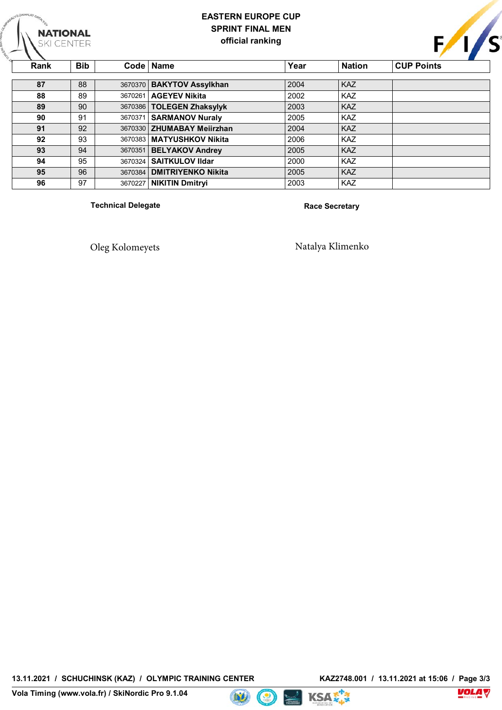## **EASTERN EUROPE CUP SPRINT FINAL MEN official ranking**

<u>Competition in the set of the set of the set of the set of the set of the set of the set of the set of the set of the set of the set of the set of the set of the set of the set of the set of the set of the set of the set </u> **TECHNICAL BRICAL BRICAL DELEGATES ON BAKYTOV Assylkhan REGISTS 2004** KAZ **88**  $\begin{bmatrix} 89 \end{bmatrix}$  3670261 **AGEYEV Nikita** 2002 KAZ **JURY 89** | 90 | 3670386 | **TOLEGEN Zhaksylyk** 2003 | KAZ <u>Text</u> 1.000 **2004 H**  $\frac{164}{4}$  **145 m**  $\frac{164}{4}$  **145 m**  $\frac{164}{4}$  **145 m**  $\frac{164}{4}$  **145 m**  $\frac{164}{4}$  **145 m**  $\frac{164}{4}$  **145 m**  $\frac{164}{4}$  **145 m**  $\frac{164}{4}$  **145 m**  $\frac{164}{4}$  **145 m**  $\frac{164}{4}$  **145 m**  $\frac{164}{4}$  **145 m LOWEST POINT AND POINT POINT POINT POINT POINT POINT POINT POINT POINT POINT POINT POINT POINT POINT POINT POINT POINT POINT POINT POINT POINT POINT POINT POINT POINT POINT POINT POINT POINT POINT POINT POINT POINT POIN HEIGHT DIFFERENCE (1998) AND A SET OF STATE (1999) TOTAL CLIMB (1995) MAX 17 may 17 may 17 may 17 may 17 may 17 may 17 may 17 may 17 may 17 may 17 may 17 may 17 may 17 may 17 may 17 may 17 may 17 may 17 may 17 may 17 may 17 may 17 may 17 may 17 may 17 may 17 may 17 may 17 may 17 may 17 ma Let us a let us a let us a let us a let us a let us a let us a let us a let us a let us a let us a let us a l NUMBER OF LAPS 1 2006 RACE DISTANCE 1,200 km 1,200 km 1,200 km 1,200 km 1,200 km <b>1,200 km 1,200 km 1,200 km 1,200 km 1,200 km 1,200 km 1,200 km 1,200 km 1,200 km 1,200 km 1,200 km 1,200 km 1,200 km 1,200 km Homology 17/53.01/1.2 LOCATION : SCHUCH IS SCHUCH IS A SCHUCH IS SCHUCH IS A SCHUCH IS A SCHUCH IS A SCHUCH IS A SCHUCH IS A SCHUCH I**<br>The schuch is a schedule in the schuch is a schedule in the schedule in the schedule in the schedule in the **TEMPERATURE:**  $\begin{bmatrix} 1 & 0 & 0 \\ 0 & 0 & 0 \\ 0 & 0 & 0 \\ 0 & 0 & 0 \\ 0 & 0 & 0 \\ 0 & 0 & 0 \\ 0 & 0 & 0 \\ 0 & 0 & 0 \\ 0 & 0 & 0 \\ 0 & 0 & 0 \\ 0 & 0 & 0 \\ 0 & 0 & 0 \\ 0 & 0 & 0 \\ 0 & 0 & 0 & 0 \\ 0 & 0 & 0 & 0 \\ 0 & 0 & 0 & 0 \\ 0 & 0 & 0 & 0 \\ 0 & 0 & 0 & 0 \\ 0 & 0 & 0 & 0 & 0 \\ 0 & 0 & 0$ **Rank Bib Code Name Year Nation CUP Points 90** 91 3670371 **SARMANOV Nuraly** 2005 KAZ **91** 92 3670330 **ZHUMABAY Meiirzhan** 2004 KAZ **92**  $\begin{array}{|c|c|c|c|}\n\hline\n 93 & 3670383 & \text{MATYUSHKOV Nikita} \\
\hline\n\end{array}$  2006 KAZ **93** 94 3670351 **BELYAKOV Andrey** 2005 KAZ **95** 96 3670384 **DMITRIYENKO Nikita** 2005 KAZ **96** 97 3670227 **NIKITIN Dmitryi** 2003 KAZ

**Technical Delegate Race Secretary** 

**NATIONAL** 

**SKI CENTER** 

Oleg Kolomeyets Natalya Klimenko

**13.11.2021 / SCHUCHINSK (KAZ) / OLYMPIC TRAINING CENTER KAZ2748.001 / 13.11.2021 at 15:06 / Page 3/3**







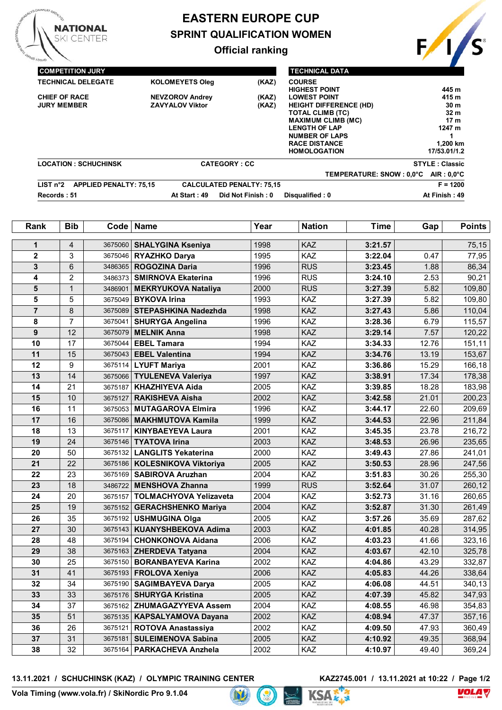

# **EASTERN EUROPE CUP SPRINT QUALIFICATION WOMEN**

## **Official ranking**



| <b>COMPETITION JURY</b>   |                               |                                 |                                  | <b>TECHNICAL DATA</b>                 |                       |
|---------------------------|-------------------------------|---------------------------------|----------------------------------|---------------------------------------|-----------------------|
| <b>TECHNICAL DELEGATE</b> |                               | <b>KOLOMEYETS Oleg</b>          | (KAZ)                            | <b>COURSE</b><br><b>HIGHEST POINT</b> | 445 m                 |
| <b>CHIEF OF RACE</b>      |                               | <b>NEVZOROV Andrey</b>          | (KAZ)                            | <b>LOWEST POINT</b>                   | 415 m                 |
| <b>JURY MEMBER</b>        |                               | <b>ZAVYALOV Viktor</b><br>(KAZ) |                                  | <b>HEIGHT DIFFERENCE (HD)</b>         | 30 <sub>m</sub>       |
|                           |                               |                                 |                                  | <b>TOTAL CLIMB (TC)</b>               | 32 <sub>m</sub>       |
|                           |                               |                                 |                                  | <b>MAXIMUM CLIMB (MC)</b>             | 17 <sub>m</sub>       |
|                           |                               |                                 |                                  | <b>LENGTH OF LAP</b>                  | 1247 m                |
|                           |                               |                                 |                                  | <b>NUMBER OF LAPS</b>                 |                       |
|                           |                               |                                 |                                  | <b>RACE DISTANCE</b>                  | 1,200 km              |
|                           |                               |                                 |                                  | <b>HOMOLOGATION</b>                   | 17/53.01/1.2          |
|                           | <b>LOCATION: SCHUCHINSK</b>   |                                 | <b>CATEGORY: CC</b>              |                                       | <b>STYLE: Classic</b> |
|                           |                               |                                 |                                  | TEMPERATURE: SNOW : 0.0°C             | $AIR: 0.0^{\circ}C$   |
| LIST n <sup>°</sup> 2     | <b>APPLIED PENALTY: 75.15</b> |                                 | <b>CALCULATED PENALTY: 75.15</b> |                                       | $F = 1200$            |
| Records: 51               |                               | At Start: 49                    | Did Not Finish: 0                | Disqualified: 0                       | At Finish: 49         |

| Rank           | <b>Bib</b>       | Code    | <b>Name</b>                   | Year | <b>Nation</b> | <b>Time</b> | Gap   | <b>Points</b> |
|----------------|------------------|---------|-------------------------------|------|---------------|-------------|-------|---------------|
| $\mathbf{1}$   | $\overline{4}$   | 3675060 | <b>SHALYGINA Kseniya</b>      | 1998 | KAZ           | 3:21.57     |       | 75,15         |
| $\mathbf 2$    | 3                | 3675046 | <b>RYAZHKO Darya</b>          | 1995 | KAZ           | 3:22.04     | 0.47  | 77,95         |
| 3              | 6                | 3486365 | <b>ROGOZINA Daria</b>         | 1996 | <b>RUS</b>    | 3:23.45     | 1.88  | 86,34         |
| 4              | $\overline{2}$   | 3486373 | <b>SMIRNOVA Ekaterina</b>     | 1996 | <b>RUS</b>    | 3:24.10     | 2.53  | 90,21         |
| 5              | $\mathbf{1}$     | 3486901 | <b>MEKRYUKOVA Nataliya</b>    | 2000 | <b>RUS</b>    | 3:27.39     | 5.82  | 109,80        |
| 5              | 5                | 3675049 | <b>BYKOVA Irina</b>           | 1993 | KAZ           | 3:27.39     | 5.82  | 109,80        |
| $\overline{7}$ | 8                | 3675089 | <b>STEPASHKINA Nadezhda</b>   | 1998 | KAZ           | 3:27.43     | 5.86  | 110,04        |
| 8              | $\overline{7}$   | 3675041 | <b>SHURYGA Angelina</b>       | 1996 | KAZ           | 3:28.36     | 6.79  | 115,57        |
| 9              | 12               | 3675079 | <b>MELNIK Anna</b>            | 1998 | KAZ           | 3:29.14     | 7.57  | 120,22        |
| 10             | 17               | 3675044 | <b>EBEL Tamara</b>            | 1994 | KAZ           | 3:34.33     | 12.76 | 151,11        |
| 11             | 15               | 3675043 | <b>EBEL Valentina</b>         | 1994 | KAZ           | 3:34.76     | 13.19 | 153,67        |
| 12             | $\boldsymbol{9}$ |         | 3675114   LYUFT Mariya        | 2001 | KAZ           | 3:36.86     | 15.29 | 166,18        |
| 13             | 14               | 3675066 | <b>TYULENEVA Valeriya</b>     | 1997 | KAZ           | 3:38.91     | 17.34 | 178,38        |
| 14             | 21               | 3675187 | <b>KHAZHIYEVA Aida</b>        | 2005 | KAZ           | 3:39.85     | 18.28 | 183,98        |
| 15             | 10               | 3675127 | <b>RAKISHEVA Aisha</b>        | 2002 | KAZ           | 3:42.58     | 21.01 | 200,23        |
| 16             | 11               | 3675053 | <b>MUTAGAROVA Elmira</b>      | 1996 | KAZ           | 3:44.17     | 22.60 | 209,69        |
| 17             | 16               | 3675086 | <b>MAKHMUTOVA Kamila</b>      | 1999 | KAZ           | 3:44.53     | 22.96 | 211,84        |
| 18             | 13               | 3675117 | <b>KINYBAEYEVA Laura</b>      | 2001 | KAZ           | 3:45.35     | 23.78 | 216,72        |
| 19             | 24               | 3675146 | <b>TYATOVA Irina</b>          | 2003 | KAZ           | 3:48.53     | 26.96 | 235,65        |
| 20             | 50               | 3675132 | <b>LANGLITS Yekaterina</b>    | 2000 | KAZ           | 3:49.43     | 27.86 | 241,01        |
| 21             | 22               | 3675186 | <b>KOLESNIKOVA Viktoriya</b>  | 2005 | KAZ           | 3:50.53     | 28.96 | 247,56        |
| 22             | 23               | 3675169 | <b>SABIROVA Aruzhan</b>       | 2004 | KAZ           | 3:51.83     | 30.26 | 255,30        |
| 23             | 18               | 3486722 | <b>MENSHOVA Zhanna</b>        | 1999 | <b>RUS</b>    | 3:52.64     | 31.07 | 260,12        |
| 24             | 20               | 3675157 | <b>TOLMACHYOVA Yelizaveta</b> | 2004 | KAZ           | 3:52.73     | 31.16 | 260,65        |
| 25             | 19               | 3675152 | <b>GERACHSHENKO Mariya</b>    | 2004 | KAZ           | 3:52.87     | 31.30 | 261,49        |
| 26             | 35               | 3675192 | <b>USHMUGINA Olga</b>         | 2005 | KAZ           | 3:57.26     | 35.69 | 287,62        |
| 27             | 30               | 3675143 | <b>KUANYSHBEKOVA Adima</b>    | 2003 | KAZ           | 4:01.85     | 40.28 | 314,95        |
| 28             | 48               | 3675194 | <b>CHONKONOVA Aidana</b>      | 2006 | KAZ           | 4:03.23     | 41.66 | 323,16        |
| 29             | 38               |         | 3675163 ZHERDEVA Tatyana      | 2004 | KAZ           | 4:03.67     | 42.10 | 325,78        |
| 30             | 25               |         | 3675150   BORANBAYEVA Karina  | 2002 | KAZ           | 4:04.86     | 43.29 | 332,87        |
| 31             | 41               |         | 3675193   FROLOVA Xeniya      | 2006 | KAZ           | 4:05.83     | 44.26 | 338,64        |
| 32             | 34               | 3675190 | <b>SAGIMBAYEVA Darya</b>      | 2005 | KAZ           | 4:06.08     | 44.51 | 340,13        |
| 33             | 33               | 3675176 | <b>SHURYGA Kristina</b>       | 2005 | KAZ           | 4:07.39     | 45.82 | 347,93        |
| 34             | 37               | 3675162 | <b>ZHUMAGAZYYEVA Assem</b>    | 2004 | KAZ           | 4:08.55     | 46.98 | 354,83        |
| 35             | 51               |         | 3675135   KAPSALYAMOVA Dayana | 2002 | KAZ           | 4:08.94     | 47.37 | 357,16        |
| 36             | 26               | 3675121 | <b>ROTOVA Anastassiya</b>     | 2002 | KAZ           | 4:09.50     | 47.93 | 360,49        |
| 37             | 31               | 3675181 | <b>SULEIMENOVA Sabina</b>     | 2005 | KAZ           | 4:10.92     | 49.35 | 368,94        |
| 38             | 32               |         | 3675164   PARKACHEVA Anzhela  | 2002 | KAZ           | 4:10.97     | 49.40 | 369,24        |

13.11.2021 / SCHUCHINSK (KAZ) / OLYMPIC TRAINING CENTER

**KAZ2745.001** / 13.11.2021 at 10:22 / Page 1/2<br> $\overline{C}$   $\overline{A}$   $\overline{C}$   $\overline{C}$ 





 $D$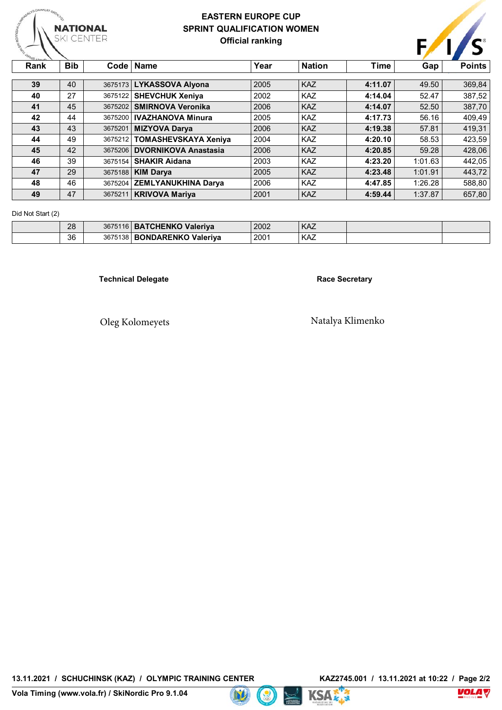

## **EASTERN EUROPE CUP SPRINT QUALIFICATION WOMEN Official ranking**



| Rank | Bib. |         | Code   Name                  | Year | <b>Nation</b> | Time    | Gap     | <b>Points</b> |
|------|------|---------|------------------------------|------|---------------|---------|---------|---------------|
|      |      |         |                              |      |               |         |         |               |
| 39   | 40   |         | 3675173 LYKASSOVA Alyona     | 2005 | <b>KAZ</b>    | 4:11.07 | 49.50   | 369,84        |
| 40   | 27   |         | 3675122 SHEVCHUK Xeniya      | 2002 | <b>KAZ</b>    | 4:14.04 | 52.47   | 387,52        |
| 41   | 45   | 3675202 | <b>SMIRNOVA Veronika</b>     | 2006 | <b>KAZ</b>    | 4:14.07 | 52.50   | 387,70        |
| 42   | 44   |         | 3675200   IVAZHANOVA Minura  | 2005 | <b>KAZ</b>    | 4:17.73 | 56.16   | 409,49        |
| 43   | 43   | 3675201 | <b>MIZYOVA Darva</b>         | 2006 | <b>KAZ</b>    | 4:19.38 | 57.81   | 419,31        |
| 44   | 49   |         | 3675212 TOMASHEVSKAYA Xeniya | 2004 | <b>KAZ</b>    | 4:20.10 | 58.53   | 423.59        |
| 45   | 42   |         | 3675206 DVORNIKOVA Anastasia | 2006 | <b>KAZ</b>    | 4:20.85 | 59.28   | 428.06        |
| 46   | 39   | 3675154 | <b>SHAKIR Aidana</b>         | 2003 | <b>KAZ</b>    | 4:23.20 | 1:01.63 | 442.05        |
| 47   | 29   | 3675188 | <b>KIM Darva</b>             | 2005 | <b>KAZ</b>    | 4:23.48 | 1:01.91 | 443,72        |
| 48   | 46   |         | 3675204 ZEMLYANUKHINA Darya  | 2006 | <b>KAZ</b>    | 4:47.85 | 1:26.28 | 588.80        |
| 49   | 47   | 3675211 | <b>KRIVOVA Mariya</b>        | 2001 | <b>KAZ</b>    | 4:59.44 | 1:37.87 | 657,80        |

#### Did Not Start (2)

| 28 | 3675116 | <b>BATCHENKO Valeriya</b>  | 2002 | <b>KAZ</b> |  |
|----|---------|----------------------------|------|------------|--|
| 36 | 3675138 | <b>BONDARENKO Valeriva</b> | 2001 | KAZ        |  |

**Technical Delegate Race Secretary** 

Oleg Kolomeyets Natalya Klimenko

**13.11.2021 / SCHUCHINSK (KAZ) / OLYMPIC TRAINING CENTER KAZ2745.001 / 13.11.2021 at 10:22 / Page 2/2**



 $D$ 



**Vola**  $\sqrt{}$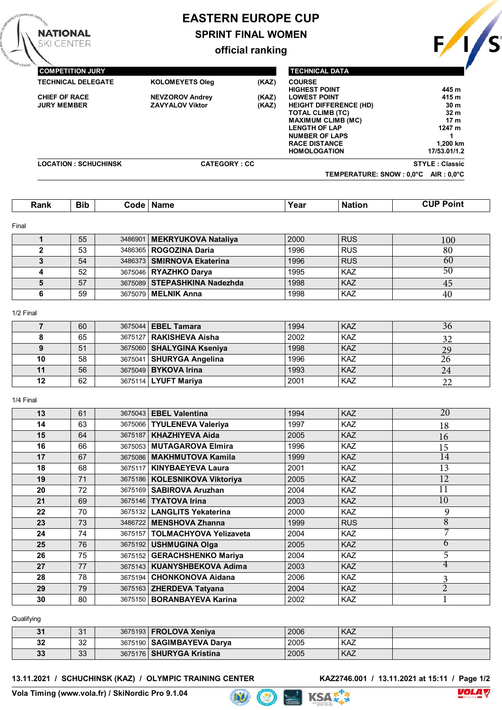# **EASTERN EUROPE CUP**

**SPRINT FINAL WOMEN**

**official ranking**

|                             |                        |       | TEMPERATURE: SNOW : 0,0°C     | $AIR: 0.0^{\circ}C$   |
|-----------------------------|------------------------|-------|-------------------------------|-----------------------|
| <b>LOCATION: SCHUCHINSK</b> | <b>CATEGORY: CC</b>    |       |                               | <b>STYLE: Classic</b> |
|                             |                        |       | <b>HOMOLOGATION</b>           | 17/53.01/1.2          |
|                             |                        |       | <b>RACE DISTANCE</b>          | 1,200 km              |
|                             |                        |       | <b>NUMBER OF LAPS</b>         |                       |
|                             |                        |       | <b>LENGTH OF LAP</b>          | 1247 m                |
|                             |                        |       | <b>MAXIMUM CLIMB (MC)</b>     | 17 <sub>m</sub>       |
|                             |                        |       | <b>TOTAL CLIMB (TC)</b>       | 32 <sub>m</sub>       |
| <b>JURY MEMBER</b>          | <b>ZAVYALOV Viktor</b> | (KAZ) | <b>HEIGHT DIFFERENCE (HD)</b> | 30 <sub>m</sub>       |
| <b>CHIEF OF RACE</b>        | <b>NEVZOROV Andrey</b> | (KAZ) | <b>LOWEST POINT</b>           | 415 m                 |
|                             |                        |       | <b>HIGHEST POINT</b>          | 445 m                 |
| <b>TECHNICAL DELEGATE</b>   | <b>KOLOMEYETS Oleg</b> | (KAZ) | <b>COURSE</b>                 |                       |
| <b>COMPETITION JURY</b>     |                        |       | <b>TECHNICAL DATA</b>         |                       |
|                             |                        |       |                               |                       |

| Rank | <b>Bib</b><br>__ | :ode | Name | Year | Nation | Point<br>. . I III |
|------|------------------|------|------|------|--------|--------------------|

#### Final

**NATIONAL KI CENTER** 

| 55 | 3486901   MEKRYUKOVA Nataliya | 2000 | <b>RUS</b> | 100 |
|----|-------------------------------|------|------------|-----|
| 53 | 3486365   ROGOZINA Daria      | 1996 | <b>RUS</b> | 80  |
| 54 | 3486373   SMIRNOVA Ekaterina  | 1996 | <b>RUS</b> | -60 |
| 52 | 3675046   RYAZHKO Darva       | 1995 | <b>KAZ</b> | 50  |
| 57 | 3675089 STEPASHKINA Nadezhda  | 1998 | KAZ        | 45  |
| 59 | 3675079   MELNIK Anna         | 1998 | KAZ        | 40  |

#### 1/2 Final

|    | 60 | 3675044   EBEL Tamara     | 1994 | <b>KAZ</b> | 36 |
|----|----|---------------------------|------|------------|----|
|    | 65 | 3675127   RAKISHEVA Aisha | 2002 | KAZ        |    |
|    | 51 | 3675060 SHALYGINA Kseniya | 1998 | <b>KAZ</b> | 29 |
| 10 | 58 | 3675041 SHURYGA Angelina  | 1996 | <b>KAZ</b> | 26 |
| 11 | 56 | 3675049 BYKOVA Irina      | 1993 | <b>KAZ</b> | 24 |
| 12 | 62 | 3675114   LYUFT Mariya    | 2001 | <b>KAZ</b> | 22 |

#### 1/4 Final

| 13 | 61 |         | 3675043   EBEL Valentina         | 1994 | <b>KAZ</b> | 20             |
|----|----|---------|----------------------------------|------|------------|----------------|
| 14 | 63 |         | 3675066   TYULENEVA Valeriya     | 1997 | <b>KAZ</b> | 18             |
| 15 | 64 | 3675187 | <b>KHAZHIYEVA Aida</b>           | 2005 | <b>KAZ</b> | 16             |
| 16 | 66 |         | 3675053 MUTAGAROVA Elmira        | 1996 | <b>KAZ</b> | 15             |
| 17 | 67 |         | 3675086   MAKHMUTOVA Kamila      | 1999 | <b>KAZ</b> | 14             |
| 18 | 68 |         | 3675117   KINYBAEYEVA Laura      | 2001 | <b>KAZ</b> | 13             |
| 19 | 71 |         | 3675186   KOLESNIKOVA Viktoriya  | 2005 | <b>KAZ</b> | 12             |
| 20 | 72 |         | 3675169 SABIROVA Aruzhan         | 2004 | <b>KAZ</b> | 11             |
| 21 | 69 |         | 3675146   TYATOVA Irina          | 2003 | <b>KAZ</b> | 10             |
| 22 | 70 |         | 3675132   LANGLITS Yekaterina    | 2000 | <b>KAZ</b> | 9              |
| 23 | 73 |         | 3486722 MENSHOVA Zhanna          | 1999 | <b>RUS</b> | $\overline{8}$ |
| 24 | 74 |         | 3675157   TOLMACHYOVA Yelizaveta | 2004 | <b>KAZ</b> |                |
| 25 | 76 |         | 3675192   USHMUGINA Olga         | 2005 | <b>KAZ</b> | 6              |
| 26 | 75 |         | 3675152 GERACHSHENKO Mariya      | 2004 | <b>KAZ</b> | 5              |
| 27 | 77 |         | 3675143   KUANYSHBEKOVA Adima    | 2003 | <b>KAZ</b> | 4              |
| 28 | 78 |         | 3675194 CHONKONOVA Aidana        | 2006 | <b>KAZ</b> | 3              |
| 29 | 79 |         | 3675163 ZHERDEVA Tatyana         | 2004 | <b>KAZ</b> | $\overline{2}$ |
| 30 | 80 |         | 3675150   BORANBAYEVA Karina     | 2002 | <b>KAZ</b> |                |

#### Qualifying

| 31 | $\Omega$<br>U. |         | 3675193   FROLOVA Xeniva   | 2006 | <b>KAZ</b> |  |
|----|----------------|---------|----------------------------|------|------------|--|
| 32 | ົດຕ<br>ےں      | 3675190 | SAGIMBAYEVA Darva          | 2005 | KAZ        |  |
| 33 | ാ<br>υu        |         | 3675176   SHURYGA Kristina | 2005 | KAZ        |  |

 $\bigcirc$ 

#### **13.11.2021 / SCHUCHINSK (KAZ) / OLYMPIC TRAINING CENTER**

**KAZ2746.001** / 13.11.2021 at 15:11 / Page 1/2<br> $\nabla \mathbf{K} \times \mathbf{R}$ 







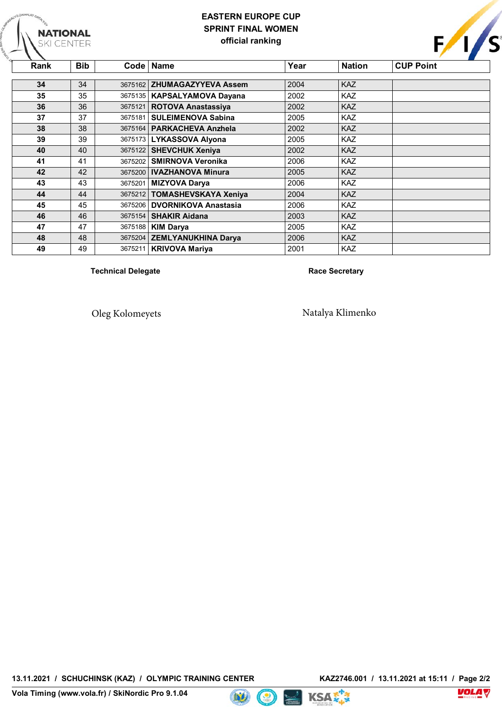## **EASTERN EUROPE CUP SPRINT FINAL WOMEN official ranking**

| Rank | <b>Bib</b> |         | Code   Name                   | Year | <b>Nation</b> | <b>CUP Point</b> |
|------|------------|---------|-------------------------------|------|---------------|------------------|
|      |            |         |                               |      |               |                  |
| 34   | 34         |         | 3675162 ZHUMAGAZYYEVA Assem   | 2004 | <b>KAZ</b>    |                  |
| 35   | 35         |         | 3675135   KAPSALYAMOVA Dayana | 2002 | <b>KAZ</b>    |                  |
| 36   | 36         | 3675121 | <b>ROTOVA Anastassiya</b>     | 2002 | <b>KAZ</b>    |                  |
| 37   | 37         | 3675181 | <b>SULEIMENOVA Sabina</b>     | 2005 | <b>KAZ</b>    |                  |
| 38   | 38         |         | 3675164   PARKACHEVA Anzhela  | 2002 | <b>KAZ</b>    |                  |
| 39   | 39         |         | 3675173   LYKASSOVA Alyona    | 2005 | <b>KAZ</b>    |                  |
| 40   | 40         |         | 3675122 SHEVCHUK Xeniya       | 2002 | <b>KAZ</b>    |                  |
| 41   | 41         | 3675202 | <b>SMIRNOVA Veronika</b>      | 2006 | <b>KAZ</b>    |                  |
| 42   | 42         |         | 3675200   IVAZHANOVA Minura   | 2005 | <b>KAZ</b>    |                  |
| 43   | 43         | 3675201 | <b>MIZYOVA Darya</b>          | 2006 | <b>KAZ</b>    |                  |
| 44   | 44         |         | 3675212 TOMASHEVSKAYA Xeniya  | 2004 | <b>KAZ</b>    |                  |
| 45   | 45         | 3675206 | <b>DVORNIKOVA Anastasia</b>   | 2006 | <b>KAZ</b>    |                  |
| 46   | 46         |         | 3675154   SHAKIR Aidana       | 2003 | <b>KAZ</b>    |                  |
| 47   | 47         |         | 3675188   KIM Darya           | 2005 | <b>KAZ</b>    |                  |
| 48   | 48         |         | 3675204 ZEMLYANUKHINA Darya   | 2006 | <b>KAZ</b>    |                  |
| 49   | 49         | 3675211 | <b>KRIVOVA Mariya</b>         | 2001 | <b>KAZ</b>    |                  |

**Technical Delegate Race Secretary** 

**NATIONAL**<br>SKI CENTER

Oleg Kolomeyets Natalya Klimenko





 $\bigcirc$ 



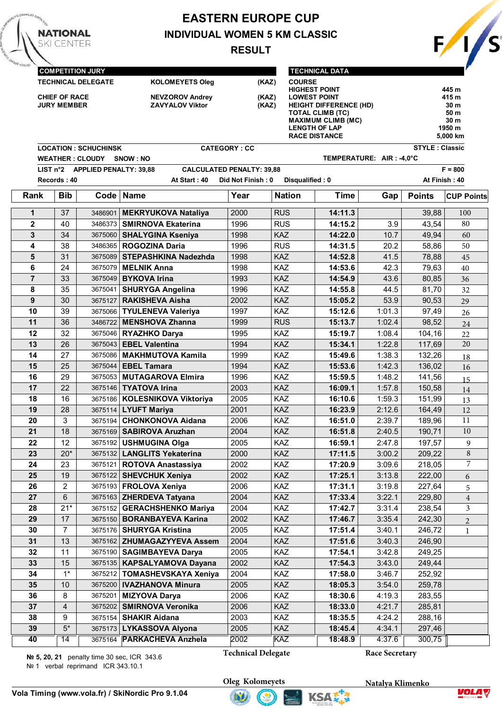# **EASTERN EUROPE CUP INDIVIDUAL WOMEN 5 KM CLASSIC**

**RESULT**

 $\frac{1}{s}$ 

|                         | <b>CHIEF OF RACE</b><br><b>JURY MEMBER</b> | <b>COMPETITION JURY</b><br><b>TECHNICAL DELEGATE</b><br><b>LOCATION: SCHUCHINSK</b> | <b>KOLOMEYETS Oleg</b><br><b>NEVZOROV Andrey</b><br><b>ZAVYALOV Viktor</b> | <b>CATEGORY: CC</b> | (KAZ)<br>(KAZ)<br>(KAZ) | <b>TECHNICAL DATA</b><br><b>COURSE</b><br><b>HIGHEST POINT</b><br><b>LOWEST POINT</b><br><b>HEIGHT DIFFERENCE (HD)</b><br><b>TOTAL CLIMB (TC)</b><br><b>MAXIMUM CLIMB (MC)</b><br><b>LENGTH OF LAP</b><br><b>RACE DISTANCE</b> |                          | <b>STYLE: Classic</b> | 445 m<br>415 m<br>30 m<br>50 m<br>30 m<br>1950 m<br>5,000 km |
|-------------------------|--------------------------------------------|-------------------------------------------------------------------------------------|----------------------------------------------------------------------------|---------------------|-------------------------|--------------------------------------------------------------------------------------------------------------------------------------------------------------------------------------------------------------------------------|--------------------------|-----------------------|--------------------------------------------------------------|
|                         |                                            | <b>WEATHER : CLOUDY</b>                                                             | SNOW: NO                                                                   |                     |                         |                                                                                                                                                                                                                                | TEMPERATURE: AIR: -4,0°C |                       |                                                              |
|                         |                                            | LIST n°2 APPLIED PENALTY: 39,88                                                     | <b>CALCULATED PENALTY: 39,88</b>                                           |                     |                         |                                                                                                                                                                                                                                |                          |                       | $F = 800$                                                    |
|                         | Records: 40                                |                                                                                     | At Start: 40                                                               | Did Not Finish: 0   |                         | Disqualified: 0                                                                                                                                                                                                                |                          |                       | At Finish: 40                                                |
| Rank                    | <b>Bib</b>                                 |                                                                                     | Code   Name                                                                | Year                | <b>Nation</b>           | <b>Time</b>                                                                                                                                                                                                                    | Gap                      | <b>Points</b>         | <b>CUP Points</b>                                            |
| 1                       | 37                                         | 3486901                                                                             | <b>MEKRYUKOVA Nataliya</b>                                                 | 2000                | <b>RUS</b>              | 14:11.3                                                                                                                                                                                                                        |                          | 39,88                 | 100                                                          |
| $\overline{\mathbf{2}}$ | 40                                         | 3486373                                                                             | <b>SMIRNOVA Ekaterina</b>                                                  | 1996                | <b>RUS</b>              | 14:15.2                                                                                                                                                                                                                        | 3.9                      | 43,54                 | 80                                                           |
| $\mathbf{3}$            | 34                                         | 3675060                                                                             | <b>SHALYGINA Kseniya</b>                                                   | 1998                | KAZ                     | 14:22.0                                                                                                                                                                                                                        | 10.7                     | 49,94                 | 60                                                           |
| 4                       | 38                                         | 3486365                                                                             | <b>ROGOZINA Daria</b>                                                      | 1996                | <b>RUS</b>              | 14:31.5                                                                                                                                                                                                                        | 20.2                     | 58,86                 | 50                                                           |
| 5                       | 31                                         |                                                                                     | 3675089 STEPASHKINA Nadezhda                                               | 1998                | KAZ                     | 14:52.8                                                                                                                                                                                                                        | 41.5                     | 78,88                 | 45                                                           |
| 6                       | 24                                         | 3675079                                                                             | <b>MELNIK Anna</b>                                                         | 1998                | KAZ                     | 14:53.6                                                                                                                                                                                                                        | 42.3                     | 79,63                 | 40                                                           |
| $\overline{7}$          | 33                                         | 3675049                                                                             | <b>BYKOVA Irina</b>                                                        | 1993                | KAZ                     | 14:54.9                                                                                                                                                                                                                        | 43.6                     | 80,85                 | 36                                                           |
| 8                       | 35                                         | 3675041                                                                             | <b>SHURYGA Angelina</b>                                                    | 1996                | <b>KAZ</b>              | 14:55.8                                                                                                                                                                                                                        | 44.5                     | 81,70                 | 32                                                           |
| $\boldsymbol{9}$        | 30                                         | 3675127                                                                             | <b>RAKISHEVA Aisha</b>                                                     | 2002                | KAZ                     | 15:05.2                                                                                                                                                                                                                        | 53.9                     | 90,53                 | 29                                                           |
| 10                      | 39                                         | 3675066                                                                             | <b>TYULENEVA Valeriya</b>                                                  | 1997                | <b>KAZ</b>              | 15:12.6                                                                                                                                                                                                                        | 1:01.3                   | 97,49                 | 26                                                           |
| 11                      | 36                                         | 3486722                                                                             | <b>MENSHOVA Zhanna</b>                                                     | 1999                | <b>RUS</b>              | 15:13.7                                                                                                                                                                                                                        | 1:02.4                   | 98,52                 | 24                                                           |
| 12                      | 32                                         | 3675046                                                                             | <b>RYAZHKO Darya</b>                                                       | 1995                | KAZ                     | 15:19.7                                                                                                                                                                                                                        | 1:08.4                   | 104,16                | 22                                                           |
| 13                      | 26                                         |                                                                                     | 3675043   EBEL Valentina                                                   | 1994                | KAZ                     | 15:34.1                                                                                                                                                                                                                        | 1:22.8                   | 117,69                | 20                                                           |
| 14                      | 27                                         | 3675086                                                                             | <b>MAKHMUTOVA Kamila</b>                                                   | 1999                | KAZ                     | 15:49.6                                                                                                                                                                                                                        | 1:38.3                   | 132,26                | 18                                                           |
| 15                      | 25                                         | 3675044                                                                             | <b>EBEL Tamara</b>                                                         | 1994                | KAZ                     | 15:53.6                                                                                                                                                                                                                        | 1:42.3                   | 136,02                | 16                                                           |
| 16                      | 29                                         | 3675053                                                                             | <b>MUTAGAROVA Elmira</b>                                                   | 1996                | <b>KAZ</b>              | 15:59.5                                                                                                                                                                                                                        | 1:48.2                   | 141,56                | 15                                                           |
| 17                      | 22                                         |                                                                                     | 3675146   TYATOVA Irina                                                    | 2003                | KAZ                     | 16:09.1                                                                                                                                                                                                                        | 1:57.8                   | 150,58                | 14                                                           |
| 18                      | 16                                         | 3675186                                                                             | KOLESNIKOVA Viktoriya                                                      | 2005                | KAZ                     | 16:10.6                                                                                                                                                                                                                        | 1:59.3                   | 151,99                | 13                                                           |
| 19                      | 28                                         |                                                                                     | 3675114   LYUFT Mariya                                                     | 2001                | <b>KAZ</b>              | 16:23.9                                                                                                                                                                                                                        | 2:12.6                   | 164,49                | 12                                                           |
| 20                      | 3                                          | 3675194                                                                             | <b>CHONKONOVA Aidana</b>                                                   | 2006                | KAZ                     | 16:51.0                                                                                                                                                                                                                        | 2:39.7                   | 189,96                | 11                                                           |
| 21                      | 18                                         |                                                                                     | 3675169 SABIROVA Aruzhan                                                   | 2004                | KAZ                     | 16:51.8                                                                                                                                                                                                                        | 2:40.5                   | 190,71                | $10\,$                                                       |
| 22                      | 12                                         |                                                                                     | 3675192   USHMUGINA Olga                                                   | 2005                | KAZ                     | 16:59.1                                                                                                                                                                                                                        | 2:47.8                   | 197,57                | 9                                                            |
| 23                      | $20*$                                      |                                                                                     | 3675132   LANGLITS Yekaterina                                              | 2000                | <b>KAZ</b>              | 17:11.5                                                                                                                                                                                                                        | 3:00.2                   | 209,22                | 8<br>7                                                       |
| 24                      | 23                                         | 3675121                                                                             | <b>ROTOVA Anastassiya</b>                                                  | 2002                | KAZ                     | 17:20.9                                                                                                                                                                                                                        | 3:09.6                   | 218,05                |                                                              |
| 25                      | 19                                         |                                                                                     | 3675122   SHEVCHUK Xeniya                                                  | 2002                | KAZ                     | 17:25.1                                                                                                                                                                                                                        | 3:13.8                   | 222,00                | 6                                                            |
| 26<br>27                | $\overline{c}$<br>6                        |                                                                                     | 3675193   FROLOVA Xeniya                                                   | 2006<br>2004        | KAZ<br>KAZ              | 17:31.1<br>17:33.4                                                                                                                                                                                                             | 3:19.8<br>3:22.1         | 227,64<br>229,80      | 5                                                            |
|                         | $21*$                                      |                                                                                     | 3675163   ZHERDEVA Tatyana                                                 |                     |                         |                                                                                                                                                                                                                                |                          |                       | $\overline{4}$                                               |
| 28<br>29                | 17                                         | 3675152                                                                             | <b>GERACHSHENKO Mariya</b><br>3675150   BORANBAYEVA Karina                 | 2004<br>2002        | KAZ<br><b>KAZ</b>       | 17:42.7<br>17:46.7                                                                                                                                                                                                             | 3:31.4<br>3:35.4         | 238,54<br>242,30      | 3                                                            |
| 30                      | $\overline{7}$                             |                                                                                     | 3675176   SHURYGA Kristina                                                 | 2005                | KAZ                     | 17:51.4                                                                                                                                                                                                                        | 3:40.1                   | 246,72                | $\overline{2}$                                               |
| 31                      | 13                                         |                                                                                     | 3675162 ZHUMAGAZYYEVA Assem                                                | 2004                | KAZ                     | 17:51.6                                                                                                                                                                                                                        | 3:40.3                   | 246,90                | 1                                                            |
| 32                      | 11                                         |                                                                                     | 3675190   SAGIMBAYEVA Darya                                                | 2005                | KAZ                     | 17:54.1                                                                                                                                                                                                                        | 3:42.8                   | 249,25                |                                                              |
| 33                      | 15                                         | 3675135                                                                             | <b>KAPSALYAMOVA Dayana</b>                                                 | 2002                | KAZ                     | 17:54.3                                                                                                                                                                                                                        | 3:43.0                   | 249,44                |                                                              |
| 34                      | $1^*$                                      |                                                                                     | 3675212   TOMASHEVSKAYA Xeniya                                             | 2004                | KAZ                     | 17:58.0                                                                                                                                                                                                                        | 3:46.7                   | 252,92                |                                                              |
| 35                      | 10                                         |                                                                                     | 3675200   IVAZHANOVA Minura                                                | 2005                | KAZ                     | 18:05.3                                                                                                                                                                                                                        | 3:54.0                   | 259,78                |                                                              |
| 36                      | 8                                          | 3675201                                                                             | <b>MIZYOVA Darya</b>                                                       | 2006                | KAZ                     | 18:30.6                                                                                                                                                                                                                        | 4:19.3                   | 283,55                |                                                              |
| 37                      | 4                                          |                                                                                     | 3675202 SMIRNOVA Veronika                                                  | 2006                | <b>KAZ</b>              | 18:33.0                                                                                                                                                                                                                        | 4:21.7                   | 285,81                |                                                              |
| 38                      | 9                                          | 3675154                                                                             | <b>SHAKIR Aidana</b>                                                       | 2003                | KAZ                     | 18:35.5                                                                                                                                                                                                                        | 4:24.2                   | 288,16                |                                                              |
| 39                      | $5^\star$                                  |                                                                                     | 3675173   LYKASSOVA Alyona                                                 | 2005                | KAZ                     | 18:45.4                                                                                                                                                                                                                        | 4:34.1                   | 297,46                |                                                              |
| 40                      | $\overline{14}$                            | 3675164                                                                             | <b>PARKACHEVA Anzhela</b>                                                  | 2002                | <b>KAZ</b>              | 18:48.9                                                                                                                                                                                                                        | 4:37.6                   | 300,75                |                                                              |
|                         |                                            |                                                                                     |                                                                            |                     |                         |                                                                                                                                                                                                                                |                          |                       |                                                              |

**№ 5, 20, 21** penalty time 30 sec, ICR 343.6

№ 1 verbal reprimand ICR 343.10.1

**NATIONAL SKI CENTER** 

**Technical Delegate**

**Race Secretary**





KSA 2



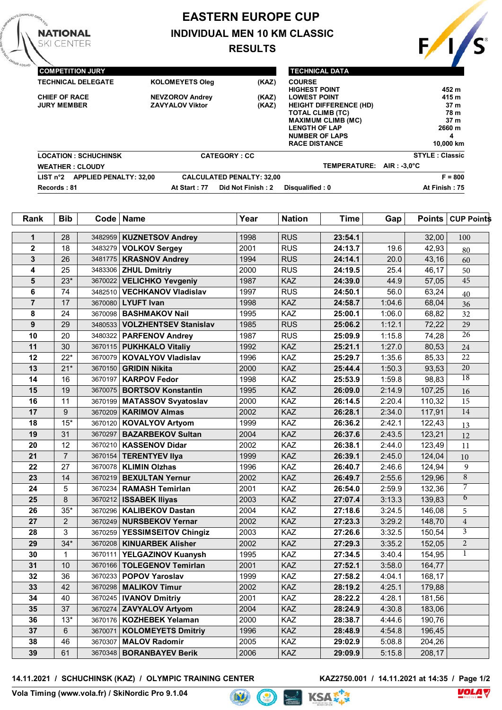# **EASTERN EUROPE CUP**

**INDIVIDUAL MEN 10 KM CLASSIC**

**RESULTS**



| <b>COMPETITION JURY</b>                            |                                                                    |                                  | <b>TECHNICAL DATA</b>                                                                                                                                                                 |                                                                                 |  |
|----------------------------------------------------|--------------------------------------------------------------------|----------------------------------|---------------------------------------------------------------------------------------------------------------------------------------------------------------------------------------|---------------------------------------------------------------------------------|--|
| <b>TECHNICAL DELEGATE</b>                          | <b>KOLOMEYETS Oleg</b>                                             | (KAZ)                            | <b>COURSE</b><br><b>HIGHEST POINT</b>                                                                                                                                                 | 452 m                                                                           |  |
| <b>CHIEF OF RACE</b><br><b>JURY MEMBER</b>         | (KAZ)<br><b>NEVZOROV Andrey</b><br>(KAZ)<br><b>ZAVYALOV Viktor</b> |                                  | <b>LOWEST POINT</b><br><b>HEIGHT DIFFERENCE (HD)</b><br><b>TOTAL CLIMB (TC)</b><br><b>MAXIMUM CLIMB (MC)</b><br><b>LENGTH OF LAP</b><br><b>NUMBER OF LAPS</b><br><b>RACE DISTANCE</b> | 415 m<br>37 <sub>m</sub><br>78 m<br>37 <sub>m</sub><br>2660 m<br>4<br>10,000 km |  |
| <b>LOCATION: SCHUCHINSK</b>                        |                                                                    | <b>CATEGORY: CC</b>              |                                                                                                                                                                                       | <b>STYLE: Classic</b>                                                           |  |
| <b>WEATHER: CLOUDY</b>                             |                                                                    |                                  | TEMPERATURE: AIR: -3.0°C                                                                                                                                                              |                                                                                 |  |
| <b>APPLIED PENALTY: 32.00</b><br>LIST $n^{\circ}2$ |                                                                    | <b>CALCULATED PENALTY: 32,00</b> |                                                                                                                                                                                       | $F = 800$                                                                       |  |
| Records: 81                                        | At Start: 77                                                       | Did Not Finish: 2                | Disqualified: 0                                                                                                                                                                       | At Finish: 75                                                                   |  |

| Rank           | <b>Bib</b>       | $Code \vert$ | <b>Name</b>                    | Year | <b>Nation</b> | <b>Time</b> | Gap    | Points | <b>CUP Points</b> |
|----------------|------------------|--------------|--------------------------------|------|---------------|-------------|--------|--------|-------------------|
| 1              | 28               | 3482959      | <b>KUZNETSOV Andrey</b>        | 1998 | <b>RUS</b>    | 23:54.1     |        | 32,00  | 100               |
| $\mathbf{2}$   | 18               | 3483279      | <b>VOLKOV Sergey</b>           | 2001 | <b>RUS</b>    | 24:13.7     | 19.6   | 42,93  |                   |
| 3              | 26               |              | 3481775   KRASNOV Andrey       | 1994 | <b>RUS</b>    | 24:14.1     | 20.0   | 43,16  | 80<br>60          |
| 4              | 25               |              | 3483306 <b>ZHUL Dmitriy</b>    | 2000 | <b>RUS</b>    | 24:19.5     | 25.4   | 46,17  | 50                |
| 5              | $23*$            | 3670022      | <b>VELICHKO Yevgeniy</b>       | 1987 | KAZ           | 24:39.0     | 44.9   | 57,05  | 45                |
| 6              | 74               | 3482510      | <b>VECHKANOV Vladislav</b>     | 1997 | <b>RUS</b>    | 24:50.1     | 56.0   | 63,24  | 40                |
| $\overline{7}$ | 17               | 3670080      | <b>LYUFT Ivan</b>              | 1998 | KAZ           | 24:58.7     | 1:04.6 | 68,04  | 36                |
| 8              | 24               | 3670098      | <b>BASHMAKOV Nail</b>          | 1995 | KAZ           | 25:00.1     | 1:06.0 | 68,82  | 32                |
| 9              | 29               | 3480533      | <b>VOLZHENTSEV Stanislav</b>   | 1985 | <b>RUS</b>    | 25:06.2     | 1:12.1 | 72,22  | $\overline{29}$   |
| 10             | 20               |              | 3480322   PARFENOV Andrey      | 1987 | <b>RUS</b>    | 25:09.9     | 1:15.8 | 74,28  | $\overline{26}$   |
| 11             | 30               |              | 3670115   PUKHKALO Vitaliy     | 1992 | KAZ           | 25:21.1     | 1:27.0 | 80,53  | 24                |
| 12             | $22*$            | 3670079      | <b>KOVALYOV Vladislav</b>      | 1996 | KAZ           | 25:29.7     | 1:35.6 | 85,33  | 22                |
| 13             | $21*$            | 3670150      | <b>GRIDIN Nikita</b>           | 2000 | KAZ           | 25:44.4     | 1:50.3 | 93,53  | $\overline{20}$   |
| 14             | 16               | 3670197      | <b>KARPOV Fedor</b>            | 1998 | KAZ           | 25:53.9     | 1:59.8 | 98,83  | $\overline{18}$   |
| 15             | 19               | 3670075      | <b>BORTSOV Konstantin</b>      | 1995 | KAZ           | 26:09.0     | 2:14.9 | 107,25 | 16                |
| 16             | 11               |              | 3670199   MATASSOV Svyatoslav  | 2000 | KAZ           | 26:14.5     | 2:20.4 | 110,32 | 15                |
| 17             | $\boldsymbol{9}$ | 3670209      | <b>KARIMOV Almas</b>           | 2002 | KAZ           | 26:28.1     | 2:34.0 | 117,91 | $\overline{14}$   |
| 18             | $15*$            | 3670120      | <b>KOVALYOV Artyom</b>         | 1999 | KAZ           | 26:36.2     | 2:42.1 | 122,43 | 13                |
| 19             | 31               | 3670297      | <b>BAZARBEKOV Sultan</b>       | 2004 | KAZ           | 26:37.6     | 2:43.5 | 123,21 | 12                |
| 20             | 12               | 3670210      | <b>KASSENOV Didar</b>          | 2002 | KAZ           | 26:38.1     | 2:44.0 | 123,49 | 11                |
| 21             | $\overline{7}$   | 3670154      | <b>TERENTYEV IIya</b>          | 1999 | KAZ           | 26:39.1     | 2:45.0 | 124,04 | 10                |
| 22             | 27               |              | 3670078   KLIMIN Olzhas        | 1996 | KAZ           | 26:40.7     | 2:46.6 | 124,94 | 9                 |
| 23             | 14               | 3670219      | <b>BEXULTAN Yernur</b>         | 2002 | KAZ           | 26:49.7     | 2:55.6 | 129,96 | $\overline{8}$    |
| 24             | 5                | 3670234      | <b>RAMASH Temirlan</b>         | 2001 | KAZ           | 26:54.0     | 2:59.9 | 132,36 | $\overline{7}$    |
| 25             | 8                |              | 3670212   ISSABEK Iliyas       | 2003 | KAZ           | 27:07.4     | 3:13.3 | 139,83 | $\overline{6}$    |
| 26             | $35*$            | 3670296      | <b>KALIBEKOV Dastan</b>        | 2004 | KAZ           | 27:18.6     | 3:24.5 | 146,08 | 5                 |
| 27             | $\overline{2}$   | 3670249      | <b>NURSBEKOV Yernar</b>        | 2002 | KAZ           | 27:23.3     | 3:29.2 | 148,70 | $\overline{4}$    |
| 28             | 3                |              | 3670259 YESSIMSEITOV Chingiz   | 2003 | KAZ           | 27:26.6     | 3:32.5 | 150,54 | $\overline{3}$    |
| 29             | $34*$            | 3670208      | <b>KINUARBEK Alisher</b>       | 2002 | KAZ           | 27:29.3     | 3:35.2 | 152,05 | 2                 |
| 30             | 1                | 3670111      | YELGAZINOV Kuanysh             | 1995 | KAZ           | 27:34.5     | 3:40.4 | 154,95 | $\mathbf{1}$      |
| 31             | 10               | 3670166      | <b>TOLEGENOV Temirlan</b>      | 2001 | KAZ           | 27:52.1     | 3:58.0 | 164,77 |                   |
| 32             | 36               |              | 3670233   POPOV Yaroslav       | 1999 | KAZ           | 27:58.2     | 4:04.1 | 168,17 |                   |
| 33             | 42               |              | 3670298   MALIKOV Timur        | 2002 | KAZ           | 28:19.2     | 4:25.1 | 179,88 |                   |
| 34             | 40               |              | 3670245   IVANOV Dmitriy       | 2001 | KAZ           | 28:22.2     | 4:28.1 | 181,56 |                   |
| 35             | 37               |              | 3670274 <b>ZAVYALOV Artyom</b> | 2004 | KAZ           | 28:24.9     | 4:30.8 | 183,06 |                   |
| 36             | $13*$            |              | 3670176   KOZHEBEK Yelaman     | 2000 | KAZ           | 28:38.7     | 4:44.6 | 190,76 |                   |
| 37             | 6                | 3670071      | <b>KOLOMEYETS Dmitriy</b>      | 1996 | KAZ           | 28:48.9     | 4:54.8 | 196,45 |                   |
| 38             | 46               | 3670307      | <b>MALOV Radomir</b>           | 2005 | KAZ           | 29:02.9     | 5:08.8 | 204,26 |                   |
| 39             | 61               | 3670348      | <b>BORANBAYEV Berik</b>        | 2006 | KAZ           | 29:09.9     | 5:15.8 | 208,17 |                   |

**14.11.2021 / SCHUCHINSK (KAZ) / OLYMPIC TRAINING CENTER** 

**KAZ2750.001** / 14.11.2021 at 14:35 / Page 1/2<br> $\nabla \mathbf{K} \times \mathbf{R}$ 



**NATIONAL SKI CENTER** 



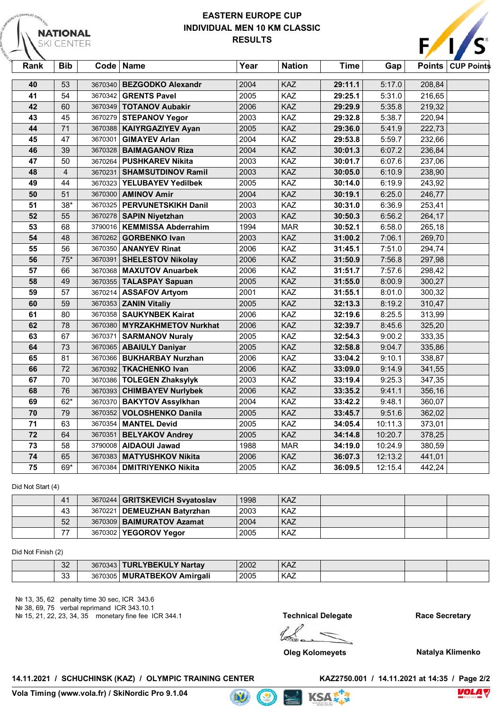## **EASTERN EUROPE CUP INDIVIDUAL MEN 10 KM CLASSIC RESULTS**



| Rank | <b>Bib</b>              |         | Code   Name                   | Year | <b>Nation</b> | Time    | Gap     | <b>Points</b> | <b>CUP Points</b> |
|------|-------------------------|---------|-------------------------------|------|---------------|---------|---------|---------------|-------------------|
| 40   | 53                      | 3670340 | <b>BEZGODKO Alexandr</b>      | 2004 | KAZ           | 29:11.1 | 5:17.0  | 208,84        |                   |
| 41   | 54                      | 3670342 | <b>GRENTS Pavel</b>           | 2005 | KAZ           | 29:25.1 | 5:31.0  | 216,65        |                   |
| 42   | 60                      | 3670349 | <b>TOTANOV Aubakir</b>        | 2006 | KAZ           | 29:29.9 | 5:35.8  | 219,32        |                   |
| 43   | 45                      | 3670279 | <b>STEPANOV Yegor</b>         | 2003 | KAZ           | 29:32.8 | 5:38.7  | 220,94        |                   |
| 44   | $\overline{71}$         | 3670388 | <b>KAIYRGAZIYEV Ayan</b>      | 2005 | KAZ           | 29:36.0 | 5:41.9  | 222,73        |                   |
| 45   | 47                      | 3670301 | <b>GIMAYEV Arlan</b>          | 2004 | KAZ           | 29:53.8 | 5:59.7  | 232,66        |                   |
| 46   | 39                      | 3670328 | <b>BAIMAGANOV Riza</b>        | 2004 | KAZ           | 30:01.3 | 6:07.2  | 236,84        |                   |
| 47   | 50                      |         | 3670264   PUSHKAREV Nikita    | 2003 | KAZ           | 30:01.7 | 6:07.6  | 237,06        |                   |
| 48   | $\overline{\mathbf{4}}$ | 3670231 | <b>SHAMSUTDINOV Ramil</b>     | 2003 | KAZ           | 30:05.0 | 6:10.9  | 238,90        |                   |
| 49   | 44                      |         | 3670323 YELUBAYEV Yedilbek    | 2005 | KAZ           | 30:14.0 | 6:19.9  | 243,92        |                   |
| 50   | 51                      |         | 3670300   AMINOV Amir         | 2004 | KAZ           | 30:19.1 | 6:25.0  | 246,77        |                   |
| 51   | $38*$                   |         | 3670325   PERVUNETSKIKH Danil | 2003 | KAZ           | 30:31.0 | 6:36.9  | 253,41        |                   |
| 52   | 55                      | 3670278 | <b>SAPIN Niyetzhan</b>        | 2003 | KAZ           | 30:50.3 | 6:56.2  | 264,17        |                   |
| 53   | 68                      |         | 3790016   KEMMISSA Abderrahim | 1994 | <b>MAR</b>    | 30:52.1 | 6:58.0  | 265,18        |                   |
| 54   | 48                      | 3670262 | <b>GORBENKO Ivan</b>          | 2003 | KAZ           | 31:00.2 | 7:06.1  | 269,70        |                   |
| 55   | 56                      |         | 3670350   ANANYEV Rinat       | 2006 | KAZ           | 31:45.1 | 7:51.0  | 294,74        |                   |
| 56   | $75*$                   | 3670391 | <b>SHELESTOV Nikolay</b>      | 2006 | KAZ           | 31:50.9 | 7:56.8  | 297,98        |                   |
| 57   | 66                      |         | 3670368   MAXUTOV Anuarbek    | 2006 | KAZ           | 31:51.7 | 7:57.6  | 298,42        |                   |
| 58   | 49                      | 3670355 | <b>TALASPAY Sapuan</b>        | 2005 | KAZ           | 31:55.0 | 8:00.9  | 300,27        |                   |
| 59   | 57                      | 3670214 | <b>ASSAFOV Artyom</b>         | 2001 | KAZ           | 31:55.1 | 8:01.0  | 300,32        |                   |
| 60   | 59                      |         | 3670353 <b>ZANIN Vitaliy</b>  | 2005 | KAZ           | 32:13.3 | 8:19.2  | 310,47        |                   |
| 61   | 80                      |         | 3670358   SAUKYNBEK Kairat    | 2006 | KAZ           | 32:19.6 | 8:25.5  | 313,99        |                   |
| 62   | 78                      | 3670380 | <b>MYRZAKHMETOV Nurkhat</b>   | 2006 | KAZ           | 32:39.7 | 8:45.6  | 325,20        |                   |
| 63   | 67                      | 3670371 | <b>SARMANOV Nuraly</b>        | 2005 | KAZ           | 32:54.3 | 9:00.2  | 333,35        |                   |
| 64   | 73                      |         | 3670365   ABAIULY Daniyar     | 2005 | KAZ           | 32:58.8 | 9:04.7  | 335,86        |                   |
| 65   | 81                      |         | 3670366   BUKHARBAY Nurzhan   | 2006 | KAZ           | 33:04.2 | 9:10.1  | 338,87        |                   |
| 66   | $\overline{72}$         | 3670392 | <b>TKACHENKO Ivan</b>         | 2006 | KAZ           | 33:09.0 | 9:14.9  | 341,55        |                   |
| 67   | 70                      | 3670386 | <b>TOLEGEN Zhaksylyk</b>      | 2003 | KAZ           | 33:19.4 | 9:25.3  | 347,35        |                   |
| 68   | 76                      | 3670393 | <b>CHIMBAYEV Nurlybek</b>     | 2006 | KAZ           | 33:35.2 | 9:41.1  | 356,16        |                   |
| 69   | $62*$                   | 3670370 | <b>BAKYTOV Assylkhan</b>      | 2004 | KAZ           | 33:42.2 | 9:48.1  | 360,07        |                   |
| 70   | 79                      | 3670352 | <b>VOLOSHENKO Danila</b>      | 2005 | KAZ           | 33:45.7 | 9:51.6  | 362,02        |                   |
| 71   | 63                      |         | 3670354   MANTEL Devid        | 2005 | KAZ           | 34:05.4 | 10:11.3 | 373,01        |                   |
| 72   | 64                      | 3670351 | <b>BELYAKOV Andrey</b>        | 2005 | KAZ           | 34:14.8 | 10:20.7 | 378,25        |                   |
| 73   | 58                      | 3790008 | <b>AIDAOUI Jawad</b>          | 1988 | <b>MAR</b>    | 34:19.0 | 10:24.9 | 380,59        |                   |
| 74   | 65                      | 3670383 | <b>MATYUSHKOV Nikita</b>      | 2006 | KAZ           | 36:07.3 | 12:13.2 | 441,01        |                   |
| 75   | 69*                     |         | 3670384   DMITRIYENKO Nikita  | 2005 | KAZ           | 36:09.5 | 12:15.4 | 442,24        |                   |

Did Not Start (4)

**NATIONAL** KI CENTER

| 41                       | 3670244   GRITSKEVICH Svyatoslav | 1998 | <b>KAZ</b> |  |  |
|--------------------------|----------------------------------|------|------------|--|--|
| 43                       | 3670221   DEMEUZHAN Batyrzhan    | 2003 | <b>KAZ</b> |  |  |
| 52                       | 3670309   BAIMURATOV Azamat      | 2004 | <b>KAZ</b> |  |  |
| $\overline{\phantom{a}}$ | 3670302   YEGOROV Yegor          | 2005 | KAZ        |  |  |

#### Did Not Finish (2)

| $\Omega$<br>ے ک | 3670343   TURLYBEKULY Nartav  | 2002 | <b>KAZ</b> |  |  |
|-----------------|-------------------------------|------|------------|--|--|
| 33              | 3670305   MURATBEKOV Amirgali | 2005 | <b>KAZ</b> |  |  |

 $\mathbf{D}$ 

№ 13, 35, 62 penalty time 30 sec, ICR 343.6

№ 38, 69, 75 verbal reprimand ICR 343.10.1

№ 15, 21, 22, 23, 34, 35 monetary fine fee ICR 344.1

**Technical Delegate Race Secretary**

**KSA** 

**Oleg Kolomeyets Natalya Klimenko**

**14.11.2021 / SCHUCHINSK (KAZ) / OLYMPIC TRAINING CENTER KAZ2750.001 / 14.11.2021 at 14:35 / Page 2/2**

**Vola Timing (www.vola.fr) / SkiNordic Pro 9.1.04**

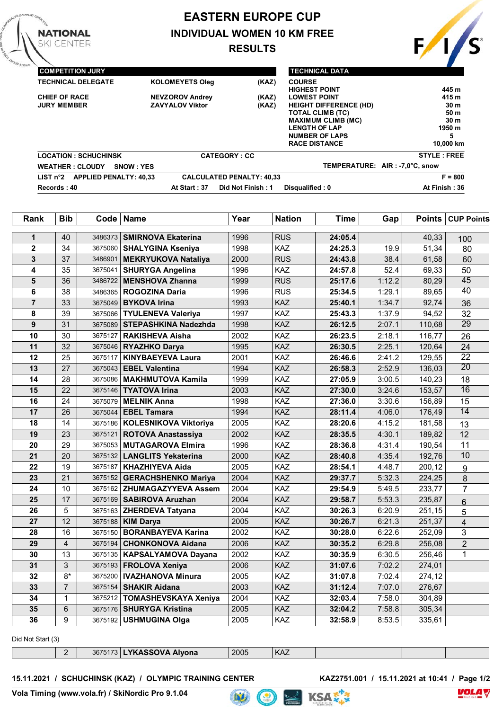# **EASTERN EUROPE CUP INDIVIDUAL WOMEN 10 KM FREE RESULTS**



| <b>COMPETITION JURY</b>                                |                        |                                  | <b>TECHNICAL DATA</b>         |                                |
|--------------------------------------------------------|------------------------|----------------------------------|-------------------------------|--------------------------------|
| <b>TECHNICAL DELEGATE</b>                              | <b>KOLOMEYETS Oleg</b> | (KAZ)                            | <b>COURSE</b>                 |                                |
|                                                        |                        |                                  | <b>HIGHEST POINT</b>          | 445 m                          |
| <b>CHIEF OF RACE</b>                                   | <b>NEVZOROV Andrey</b> | (KAZ)                            | <b>LOWEST POINT</b>           | 415 m                          |
| <b>JURY MEMBER</b>                                     | <b>ZAVYALOV Viktor</b> | (KAZ)                            | <b>HEIGHT DIFFERENCE (HD)</b> | 30 <sub>m</sub>                |
|                                                        |                        |                                  | <b>TOTAL CLIMB (TC)</b>       | 50 m                           |
|                                                        |                        |                                  | <b>MAXIMUM CLIMB (MC)</b>     | 30 <sub>m</sub>                |
|                                                        |                        |                                  | <b>LENGTH OF LAP</b>          | 1950 m                         |
|                                                        |                        |                                  | <b>NUMBER OF LAPS</b>         | 5                              |
|                                                        |                        |                                  | <b>RACE DISTANCE</b>          | 10.000 km                      |
| <b>LOCATION: SCHUCHINSK</b>                            |                        | <b>CATEGORY: CC</b>              |                               | <b>STYLE: FREE</b>             |
| <b>WEATHER: CLOUDY</b><br>SNOW : YES                   |                        |                                  |                               | TEMPERATURE: AIR: -7,0°C, snow |
| <b>APPLIED PENALTY: 40.33</b><br>LIST n <sup>°</sup> 2 |                        | <b>CALCULATED PENALTY: 40,33</b> |                               | $F = 800$                      |
| Records: 40                                            | At Start: 37           | Did Not Finish: 1                | Disqualified: 0               | At Finish: 36                  |

| Rank                    | <b>Bib</b>      | Code    | <b>Name</b>                  | Year | <b>Nation</b> | <b>Time</b> | Gap    | <b>Points</b> | <b>CUP Points</b>       |
|-------------------------|-----------------|---------|------------------------------|------|---------------|-------------|--------|---------------|-------------------------|
| $\mathbf{1}$            | 40              | 3486373 | <b>SMIRNOVA Ekaterina</b>    | 1996 | <b>RUS</b>    | 24:05.4     |        | 40,33         | 100                     |
| $\overline{\mathbf{2}}$ | 34              | 3675060 | <b>SHALYGINA Kseniya</b>     | 1998 | KAZ           | 24:25.3     | 19.9   | 51,34         | 80                      |
| 3                       | 37              | 3486901 | <b>MEKRYUKOVA Nataliya</b>   | 2000 | <b>RUS</b>    | 24:43.8     | 38.4   | 61,58         | 60                      |
| 4                       | 35              | 3675041 | <b>SHURYGA Angelina</b>      | 1996 | KAZ           | 24:57.8     | 52.4   | 69,33         | 50                      |
| 5                       | 36              | 3486722 | <b>MENSHOVA Zhanna</b>       | 1999 | <b>RUS</b>    | 25:17.6     | 1:12.2 | 80,29         | 45                      |
| 6                       | 38              | 3486365 | <b>ROGOZINA Daria</b>        | 1996 | <b>RUS</b>    | 25:34.5     | 1:29.1 | 89,65         | $\overline{40}$         |
| $\overline{7}$          | 33              | 3675049 | <b>BYKOVA Irina</b>          | 1993 | KAZ           | 25:40.1     | 1:34.7 | 92,74         | 36                      |
| 8                       | 39              | 3675066 | <b>TYULENEVA Valeriya</b>    | 1997 | KAZ           | 25:43.3     | 1:37.9 | 94,52         | $\overline{32}$         |
| 9                       | 31              | 3675089 | <b>STEPASHKINA Nadezhda</b>  | 1998 | KAZ           | 26:12.5     | 2:07.1 | 110,68        | $\overline{29}$         |
| 10                      | 30              | 3675127 | <b>RAKISHEVA Aisha</b>       | 2002 | KAZ           | 26:23.5     | 2:18.1 | 116,77        | 26                      |
| 11                      | 32              | 3675046 | <b>RYAZHKO Darya</b>         | 1995 | KAZ           | 26:30.5     | 2:25.1 | 120,64        | 24                      |
| 12                      | 25              | 3675117 | <b>KINYBAEYEVA Laura</b>     | 2001 | KAZ           | 26:46.6     | 2:41.2 | 129,55        | $\overline{22}$         |
| 13                      | 27              | 3675043 | <b>EBEL Valentina</b>        | 1994 | KAZ           | 26:58.3     | 2:52.9 | 136,03        | $\overline{20}$         |
| 14                      | 28              | 3675086 | <b>MAKHMUTOVA Kamila</b>     | 1999 | KAZ           | 27:05.9     | 3:00.5 | 140,23        | 18                      |
| 15                      | 22              | 3675146 | <b>TYATOVA Irina</b>         | 2003 | KAZ           | 27:30.0     | 3:24.6 | 153,57        | 16                      |
| 16                      | 24              | 3675079 | <b>MELNIK Anna</b>           | 1998 | KAZ           | 27:36.0     | 3:30.6 | 156,89        | 15                      |
| 17                      | 26              | 3675044 | <b>EBEL Tamara</b>           | 1994 | KAZ           | 28:11.4     | 4:06.0 | 176,49        | $\overline{14}$         |
| 18                      | 14              | 3675186 | <b>KOLESNIKOVA Viktoriya</b> | 2005 | KAZ           | 28:20.6     | 4:15.2 | 181,58        | 13                      |
| 19                      | 23              | 3675121 | <b>ROTOVA Anastassiya</b>    | 2002 | KAZ           | 28:35.5     | 4:30.1 | 189,82        | 12                      |
| 20                      | 29              | 3675053 | <b>MUTAGAROVA Elmira</b>     | 1996 | KAZ           | 28:36.8     | 4:31.4 | 190,54        | 11                      |
| 21                      | 20              | 3675132 | <b>LANGLITS Yekaterina</b>   | 2000 | KAZ           | 28:40.8     | 4:35.4 | 192,76        | $\overline{10}$         |
| 22                      | 19              | 3675187 | <b>KHAZHIYEVA Aida</b>       | 2005 | KAZ           | 28:54.1     | 4:48.7 | 200,12        | 9                       |
| 23                      | 21              | 3675152 | <b>GERACHSHENKO Mariya</b>   | 2004 | KAZ           | 29:37.7     | 5:32.3 | 224,25        | 8                       |
| 24                      | 10              | 3675162 | <b>ZHUMAGAZYYEVA Assem</b>   | 2004 | KAZ           | 29:54.9     | 5:49.5 | 233,77        | $\overline{7}$          |
| 25                      | 17              | 3675169 | <b>SABIROVA Aruzhan</b>      | 2004 | KAZ           | 29:58.7     | 5:53.3 | 235,87        | 6                       |
| 26                      | 5               | 3675163 | <b>ZHERDEVA Tatyana</b>      | 2004 | KAZ           | 30:26.3     | 6:20.9 | 251,15        | 5                       |
| 27                      | 12              | 3675188 | <b>KIM Darya</b>             | 2005 | KAZ           | 30:26.7     | 6:21.3 | 251,37        | $\overline{\mathbf{4}}$ |
| 28                      | 16              | 3675150 | <b>BORANBAYEVA Karina</b>    | 2002 | KAZ           | 30:28.0     | 6:22.6 | 252,09        | 3                       |
| 29                      | $\overline{4}$  | 3675194 | <b>CHONKONOVA Aidana</b>     | 2006 | KAZ           | 30:35.2     | 6:29.8 | 256,08        | $\overline{2}$          |
| 30                      | 13              | 3675135 | KAPSALYAMOVA Dayana          | 2002 | KAZ           | 30:35.9     | 6:30.5 | 256,46        | $\mathbf{1}$            |
| 31                      | 3               | 3675193 | <b>FROLOVA Xeniya</b>        | 2006 | KAZ           | 31:07.6     | 7:02.2 | 274,01        |                         |
| 32                      | $8*$            | 3675200 | <b>IVAZHANOVA Minura</b>     | 2005 | KAZ           | 31:07.8     | 7:02.4 | 274,12        |                         |
| 33                      | $\overline{7}$  | 3675154 | <b>SHAKIR Aidana</b>         | 2003 | KAZ           | 31:12.4     | 7:07.0 | 276,67        |                         |
| 34                      | $\mathbf{1}$    | 3675212 | <b>TOMASHEVSKAYA Xeniya</b>  | 2004 | KAZ           | 32:03.4     | 7:58.0 | 304,89        |                         |
| 35                      | $6\phantom{1}6$ | 3675176 | <b>SHURYGA Kristina</b>      | 2005 | KAZ           | 32:04.2     | 7:58.8 | 305,34        |                         |
| 36                      | 9               | 3675192 | <b>USHMUGINA Olga</b>        | 2005 | KAZ           | 32:58.9     | 8:53.5 | 335,61        |                         |

Did Not Start (3)

**NATIONAL** KI CENTER

3675173 **LYKASSOVA Alyona** 2005 KAZ

 $\bullet$ 

hit)

KSAE<sup>\*</sup>

15.11.2021 / SCHUCHINSK (KAZ) / OLYMPIC TRAINING CENTER

**KAZ2751.001** / 15.11.2021 at 10:41 / Page 1/2<br> $R \times \sqrt{P \times P}$ 

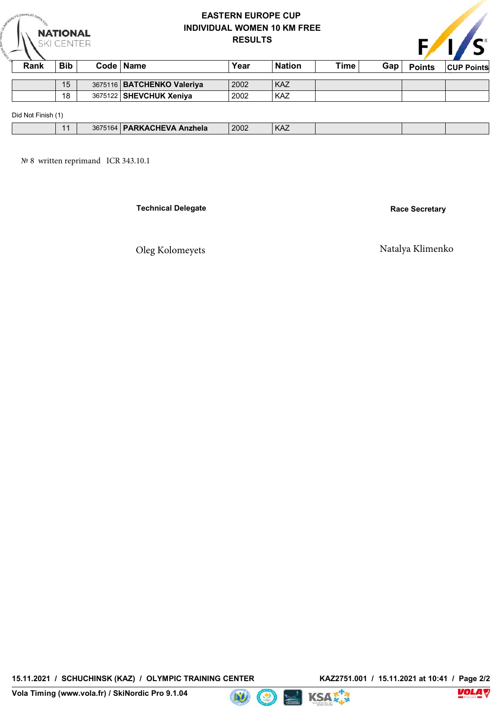| <b>EASTERN EUROPE CUP</b>          |  |
|------------------------------------|--|
| <b>INDIVIDUAL WOMEN 10 KM FREE</b> |  |
| <b>RESULTS</b>                     |  |



| Rank               | <b>Bib</b> | Code   Name                  | Year | <b>Nation</b> | Time | Gap | <b>Points</b> | <b>CUP Points</b> |
|--------------------|------------|------------------------------|------|---------------|------|-----|---------------|-------------------|
|                    |            |                              |      |               |      |     |               |                   |
|                    | 15         | 3675116   BATCHENKO Valeriya | 2002 | <b>KAZ</b>    |      |     |               |                   |
|                    | 18         | 3675122   SHEVCHUK Xeniva    | 2002 | KAZ           |      |     |               |                   |
| Did Not Finish (1) |            |                              |      |               |      |     |               |                   |

| $\overline{A}$ | 3675164 | <b>PARKACHEVA</b><br>. Anzhela | 2002 | KAZ |  |  |
|----------------|---------|--------------------------------|------|-----|--|--|
|                |         |                                |      |     |  |  |

**WEATHER : CL№ 8 written reprimand ICR 343.10.1OUDY SNOW : YES TEMPERATURE: SNOW : 0,0°C AIR : -5,0°C** № 8 written reprimand ICR 343.10.1

**NATIONAL**<br>SKI CENTER

**Technical Delegate Race Secretary** 

# Oleg Kolomeyets Natalya Klimenko

15.11.2021 / SCHUCHINSK (KAZ) / OLYMPIC TRAINING CENTER

**Vola Timing (www.vola.fr) / SkiNordic Pro 9.1.04**



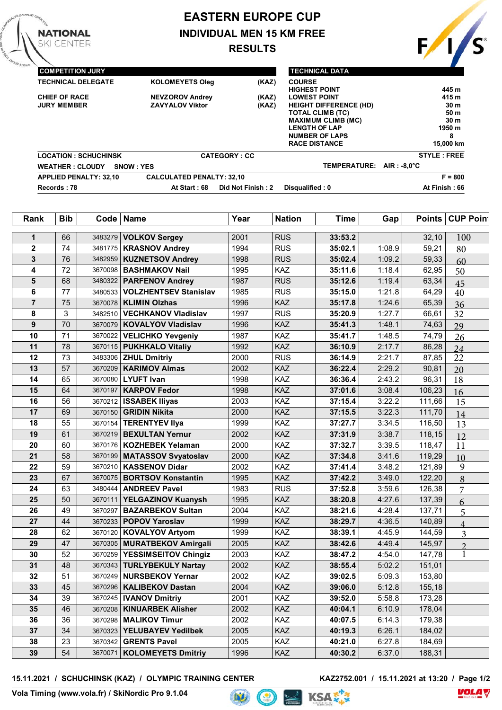# **EASTERN EUROPE CUP INDIVIDUAL MEN 15 KM FREE**

**RESULTS**



| <b>COMPETITION JURY</b>       |                                  |                     | <b>TECHNICAL DATA</b>                 |                    |
|-------------------------------|----------------------------------|---------------------|---------------------------------------|--------------------|
| <b>TECHNICAL DELEGATE</b>     | <b>KOLOMEYETS Oleg</b>           | (KAZ)               | <b>COURSE</b><br><b>HIGHEST POINT</b> | 445 m              |
| <b>CHIEF OF RACE</b>          | <b>NEVZOROV Andrey</b>           | (KAZ)               | <b>LOWEST POINT</b>                   | 415 m              |
| <b>JURY MEMBER</b>            | <b>ZAVYALOV Viktor</b>           | (KAZ)               | <b>HEIGHT DIFFERENCE (HD)</b>         | 30 <sub>m</sub>    |
|                               |                                  |                     | <b>TOTAL CLIMB (TC)</b>               | 50 m               |
|                               |                                  |                     | <b>MAXIMUM CLIMB (MC)</b>             | 30 <sub>m</sub>    |
|                               |                                  |                     | <b>LENGTH OF LAP</b>                  | 1950 m             |
|                               |                                  |                     | <b>NUMBER OF LAPS</b>                 | 8                  |
|                               |                                  |                     | <b>RACE DISTANCE</b>                  | 15.000 km          |
| <b>LOCATION: SCHUCHINSK</b>   |                                  | <b>CATEGORY: CC</b> |                                       | <b>STYLE: FREE</b> |
| <b>WEATHER: CLOUDY</b>        | <b>SNOW: YES</b>                 |                     | TEMPERATURE: AIR: -8.0°C              |                    |
| <b>APPLIED PENALTY: 32.10</b> | <b>CALCULATED PENALTY: 32.10</b> |                     |                                       | $F = 800$          |
| Records: 78                   | At Start: 68                     | Did Not Finish: 2   | Disqualified: 0                       | At Finish: 66      |

| Rank           | <b>Bib</b> | Code <sup>1</sup> | <b>Name</b>                     | Year | <b>Nation</b> | <b>Time</b> | Gap    | <b>Points</b> | <b>CUP Point</b> |
|----------------|------------|-------------------|---------------------------------|------|---------------|-------------|--------|---------------|------------------|
| 1              | 66         | 3483279           | <b>VOLKOV Sergey</b>            | 2001 | <b>RUS</b>    | 33:53.2     |        | 32,10         | 100              |
| $\mathbf 2$    | 74         | 3481775           | <b>KRASNOV Andrey</b>           | 1994 | <b>RUS</b>    | 35:02.1     | 1:08.9 | 59,21         | 80               |
| 3              | 76         | 3482959           | <b>KUZNETSOV Andrey</b>         | 1998 | <b>RUS</b>    | 35:02.4     | 1:09.2 | 59,33         | 60               |
| 4              | 72         | 3670098           | <b>BASHMAKOV Nail</b>           | 1995 | KAZ           | 35:11.6     | 1:18.4 | 62,95         | 50               |
| 5              | 68         | 3480322           | <b>PARFENOV Andrey</b>          | 1987 | <b>RUS</b>    | 35:12.6     | 1:19.4 | 63,34         | 45               |
| 6              | 77         | 3480533           | <b>VOLZHENTSEV Stanislav</b>    | 1985 | <b>RUS</b>    | 35:15.0     | 1:21.8 | 64,29         | 40               |
| $\overline{7}$ | 75         | 3670078           | <b>KLIMIN Olzhas</b>            | 1996 | KAZ           | 35:17.8     | 1:24.6 | 65,39         | 36               |
| 8              | 3          | 3482510           | <b>VECHKANOV Vladislav</b>      | 1997 | <b>RUS</b>    | 35:20.9     | 1:27.7 | 66,61         | 32               |
| 9              | 70         | 3670079           | <b>KOVALYOV Vladislav</b>       | 1996 | KAZ           | 35:41.3     | 1:48.1 | 74,63         | 29               |
| 10             | 71         | 3670022           | <b>VELICHKO Yevgeniy</b>        | 1987 | KAZ           | 35:41.7     | 1:48.5 | 74,79         | 26               |
| 11             | 78         |                   | 3670115   PUKHKALO Vitaliy      | 1992 | KAZ           | 36:10.9     | 2:17.7 | 86,28         | 24               |
| 12             | 73         |                   | 3483306 <b>ZHUL Dmitriy</b>     | 2000 | <b>RUS</b>    | 36:14.9     | 2:21.7 | 87,85         | 22               |
| 13             | 57         | 3670209           | <b>KARIMOV Almas</b>            | 2002 | KAZ           | 36:22.4     | 2:29.2 | 90,81         | 20               |
| 14             | 65         | 3670080           | <b>LYUFT Ivan</b>               | 1998 | KAZ           | 36:36.4     | 2:43.2 | 96,31         | 18               |
| 15             | 64         | 3670197           | <b>KARPOV Fedor</b>             | 1998 | KAZ           | 37:01.6     | 3:08.4 | 106,23        | 16               |
| 16             | 56         | 3670212           | <b>ISSABEK Iliyas</b>           | 2003 | KAZ           | 37:15.4     | 3:22.2 | 111,66        | 15               |
| 17             | 69         | 3670150           | <b>GRIDIN Nikita</b>            | 2000 | KAZ           | 37:15.5     | 3:22.3 | 111,70        | 14               |
| 18             | 55         |                   | 3670154   TERENTYEV IIya        | 1999 | KAZ           | 37:27.7     | 3:34.5 | 116,50        | 13               |
| 19             | 61         | 3670219           | <b>BEXULTAN Yernur</b>          | 2002 | KAZ           | 37:31.9     | 3:38.7 | 118,15        | 12               |
| 20             | 60         | 3670176           | <b>KOZHEBEK Yelaman</b>         | 2000 | KAZ           | 37:32.7     | 3:39.5 | 118,47        | 11               |
| 21             | 58         |                   | 3670199   MATASSOV Svyatoslav   | 2000 | KAZ           | 37:34.8     | 3:41.6 | 119,29        | 10               |
| 22             | 59         | 3670210           | <b>KASSENOV Didar</b>           | 2002 | KAZ           | 37:41.4     | 3:48.2 | 121,89        | 9                |
| 23             | 67         | 3670075           | <b>BORTSOV Konstantin</b>       | 1995 | KAZ           | 37:42.2     | 3:49.0 | 122,20        | 8                |
| 24             | 63         | 3480444           | <b>ANDREEV Pavel</b>            | 1983 | <b>RUS</b>    | 37:52.8     | 3:59.6 | 126,38        | 7                |
| 25             | 50         | 3670111           | YELGAZINOV Kuanysh              | 1995 | KAZ           | 38:20.8     | 4:27.6 | 137,39        | 6                |
| 26             | 49         | 3670297           | <b>BAZARBEKOV Sultan</b>        | 2004 | KAZ           | 38:21.6     | 4:28.4 | 137,71        | 5                |
| 27             | 44         | 3670233           | <b>POPOV Yaroslav</b>           | 1999 | KAZ           | 38:29.7     | 4:36.5 | 140,89        | $\overline{4}$   |
| 28             | 62         |                   | 3670120   KOVALYOV Artyom       | 1999 | KAZ           | 38:39.1     | 4:45.9 | 144,59        | 3                |
| 29             | 47         | 3670305           | <b>MURATBEKOV Amirgali</b>      | 2005 | KAZ           | 38:42.6     | 4:49.4 | 145,97        | $\mathfrak{D}$   |
| 30             | 52         | 3670259           | <b>YESSIMSEITOV Chingiz</b>     | 2003 | KAZ           | 38:47.2     | 4:54.0 | 147,78        | $\mathbf{1}$     |
| 31             | 48         | 3670343           | <b>TURLYBEKULY Nartay</b>       | 2002 | KAZ           | 38:55.4     | 5:02.2 | 151,01        |                  |
| 32             | 51         | 3670249           | <b>NURSBEKOV Yernar</b>         | 2002 | KAZ           | 39:02.5     | 5:09.3 | 153,80        |                  |
| 33             | 45         |                   | 3670296   KALIBEKOV Dastan      | 2004 | KAZ           | 39:06.0     | 5:12.8 | 155,18        |                  |
| 34             | 39         |                   | 3670245   <b>IVANOV Dmitriy</b> | 2001 | <b>KAZ</b>    | 39:52.0     | 5:58.8 | 173,28        |                  |
| 35             | 46         |                   | 3670208   KINUARBEK Alisher     | 2002 | KAZ           | 40:04.1     | 6:10.9 | 178,04        |                  |
| 36             | 36         |                   | 3670298 MALIKOV Timur           | 2002 | <b>KAZ</b>    | 40:07.5     | 6:14.3 | 179,38        |                  |
| 37             | 34         |                   | 3670323 YELUBAYEV Yedilbek      | 2005 | <b>KAZ</b>    | 40:19.3     | 6:26.1 | 184,02        |                  |
| 38             | 23         | 3670342           | <b>GRENTS Pavel</b>             | 2005 | KAZ           | 40:21.0     | 6:27.8 | 184,69        |                  |
| 39             | 54         | 3670071           | <b>KOLOMEYETS Dmitriy</b>       | 1996 | KAZ           | 40:30.2     | 6:37.0 | 188,31        |                  |

15.11.2021 / SCHUCHINSK (KAZ) / OLYMPIC TRAINING CENTER

**KAZ2752.001** / 15.11.2021 at 13:20 / Page 1/2

**NATIONAL KI CENTER**